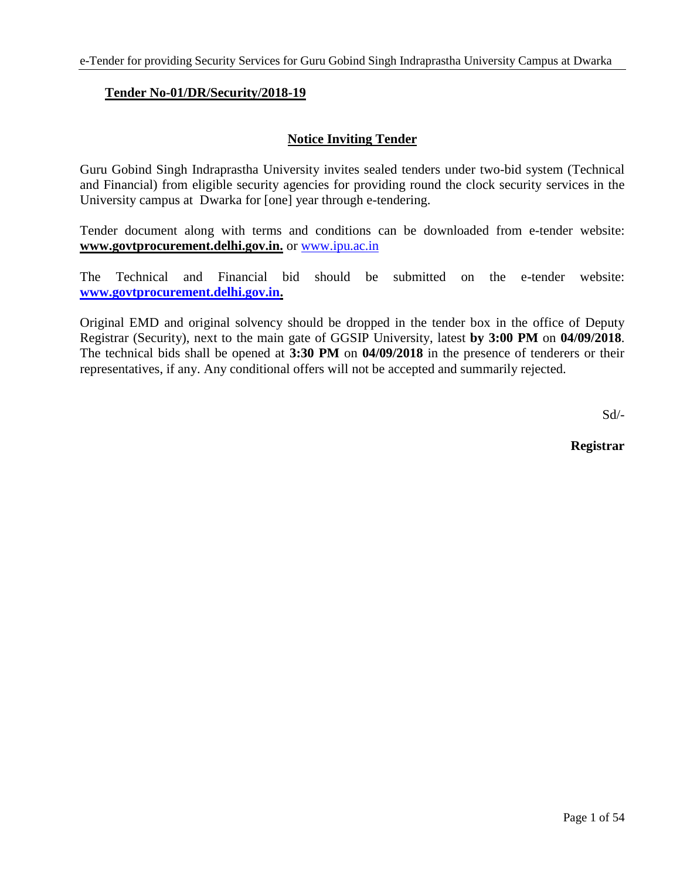## **Tender No-01/DR/Security/2018-19**

## **Notice Inviting Tender**

Guru Gobind Singh Indraprastha University invites sealed tenders under two-bid system (Technical and Financial) from eligible security agencies for providing round the clock security services in the University campus at Dwarka for [one] year through e-tendering.

Tender document along with terms and conditions can be downloaded from e-tender website: **www.govtprocurement.delhi.gov.in.** or [www.ipu.ac.in](http://www.ipu.ac.in/)

The Technical and Financial bid should be submitted on the e-tender website: **[www.govtprocurement.delhi.gov.in.](http://www.govtprocurement.delhi.gov.in/)** 

Original EMD and original solvency should be dropped in the tender box in the office of Deputy Registrar (Security), next to the main gate of GGSIP University, latest **by 3:00 PM** on **04/09/2018**. The technical bids shall be opened at **3:30 PM** on **04/09/2018** in the presence of tenderers or their representatives, if any. Any conditional offers will not be accepted and summarily rejected.

Sd/-

**Registrar**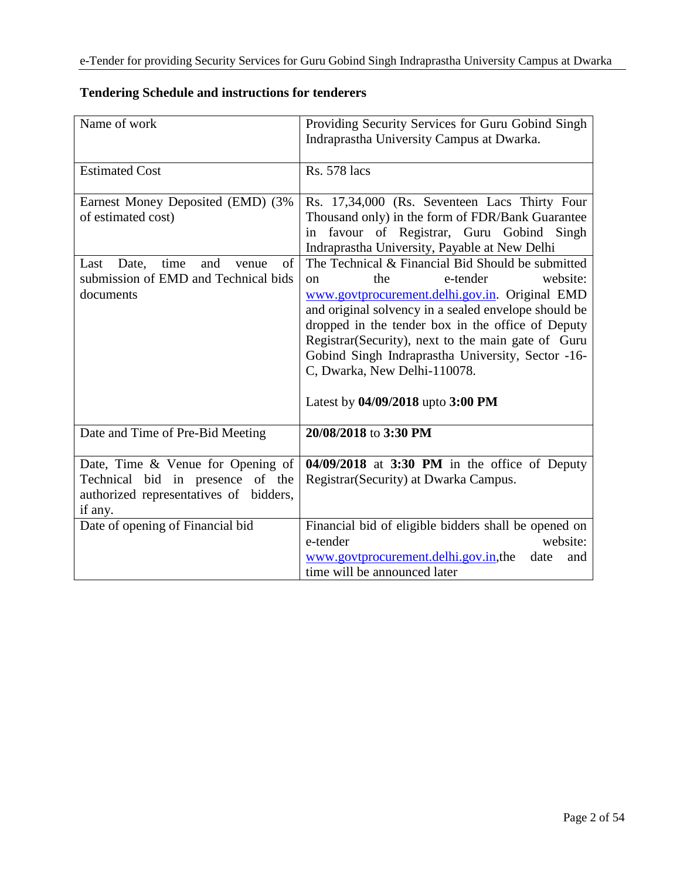| Name of work                                      | Providing Security Services for Guru Gobind Singh<br>Indraprastha University Campus at Dwarka.         |
|---------------------------------------------------|--------------------------------------------------------------------------------------------------------|
|                                                   |                                                                                                        |
| <b>Estimated Cost</b>                             | <b>Rs. 578 lacs</b>                                                                                    |
|                                                   |                                                                                                        |
| Earnest Money Deposited (EMD) (3%                 | Rs. 17,34,000 (Rs. Seventeen Lacs Thirty Four                                                          |
| of estimated cost)                                | Thousand only) in the form of FDR/Bank Guarantee                                                       |
|                                                   | favour of Registrar, Guru Gobind Singh<br>in                                                           |
|                                                   | Indraprastha University, Payable at New Delhi                                                          |
| time<br>and<br>Date,<br>of<br>Last<br>venue       | The Technical & Financial Bid Should be submitted                                                      |
| submission of EMD and Technical bids<br>documents | website:<br>e-tender<br>the<br><sub>on</sub>                                                           |
|                                                   | www.govtprocurement.delhi.gov.in. Original EMD<br>and original solvency in a sealed envelope should be |
|                                                   | dropped in the tender box in the office of Deputy                                                      |
|                                                   | Registrar (Security), next to the main gate of Guru                                                    |
|                                                   | Gobind Singh Indraprastha University, Sector -16-                                                      |
|                                                   | C, Dwarka, New Delhi-110078.                                                                           |
|                                                   |                                                                                                        |
|                                                   | Latest by 04/09/2018 upto 3:00 PM                                                                      |
|                                                   |                                                                                                        |
| Date and Time of Pre-Bid Meeting                  | 20/08/2018 to 3:30 PM                                                                                  |
| Date, Time & Venue for Opening of                 | 04/09/2018 at 3:30 PM in the office of Deputy                                                          |
| Technical bid in presence of the                  | Registrar (Security) at Dwarka Campus.                                                                 |
| authorized representatives of bidders,            |                                                                                                        |
| if any.                                           |                                                                                                        |
| Date of opening of Financial bid                  | Financial bid of eligible bidders shall be opened on                                                   |
|                                                   | e-tender<br>website:                                                                                   |
|                                                   | www.govtprocurement.delhi.gov.in,the<br>date<br>and                                                    |
|                                                   | time will be announced later                                                                           |

## **Tendering Schedule and instructions for tenderers**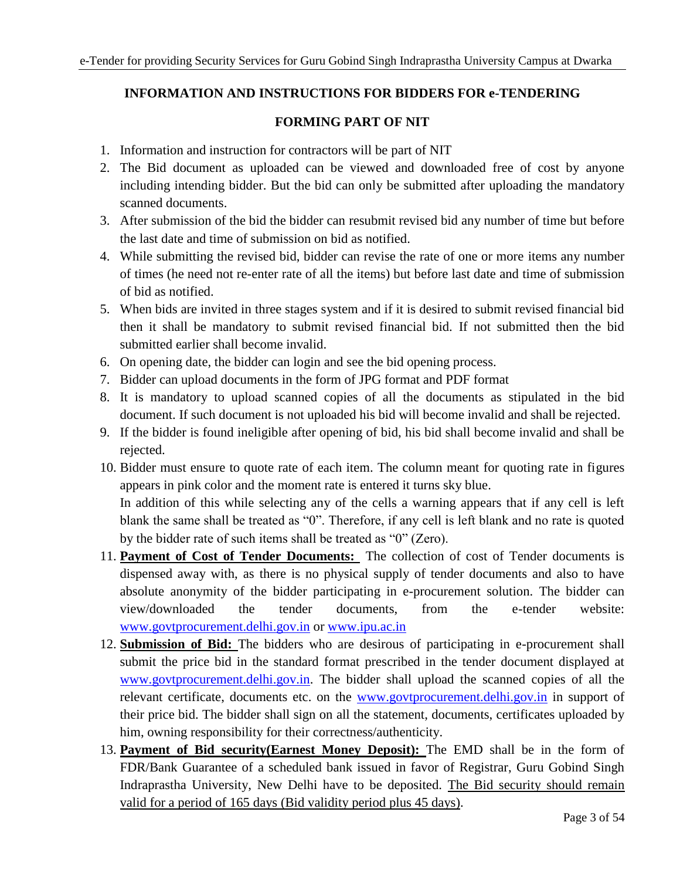## **INFORMATION AND INSTRUCTIONS FOR BIDDERS FOR e-TENDERING**

## **FORMING PART OF NIT**

- 1. Information and instruction for contractors will be part of NIT
- 2. The Bid document as uploaded can be viewed and downloaded free of cost by anyone including intending bidder. But the bid can only be submitted after uploading the mandatory scanned documents.
- 3. After submission of the bid the bidder can resubmit revised bid any number of time but before the last date and time of submission on bid as notified.
- 4. While submitting the revised bid, bidder can revise the rate of one or more items any number of times (he need not re-enter rate of all the items) but before last date and time of submission of bid as notified.
- 5. When bids are invited in three stages system and if it is desired to submit revised financial bid then it shall be mandatory to submit revised financial bid. If not submitted then the bid submitted earlier shall become invalid.
- 6. On opening date, the bidder can login and see the bid opening process.
- 7. Bidder can upload documents in the form of JPG format and PDF format
- 8. It is mandatory to upload scanned copies of all the documents as stipulated in the bid document. If such document is not uploaded his bid will become invalid and shall be rejected.
- 9. If the bidder is found ineligible after opening of bid, his bid shall become invalid and shall be rejected.
- 10. Bidder must ensure to quote rate of each item. The column meant for quoting rate in figures appears in pink color and the moment rate is entered it turns sky blue. In addition of this while selecting any of the cells a warning appears that if any cell is left blank the same shall be treated as "0". Therefore, if any cell is left blank and no rate is quoted by the bidder rate of such items shall be treated as "0" (Zero).
- 11. **Payment of Cost of Tender Documents:** The collection of cost of Tender documents is dispensed away with, as there is no physical supply of tender documents and also to have absolute anonymity of the bidder participating in e-procurement solution. The bidder can view/downloaded the tender documents, from the e-tender website: [www.govtprocurement.delhi.gov.in](http://www.govtprocurement.delhi.gov.in/) or [www.ipu.ac.in](http://www.ipu.ac.in/)
- 12. **Submission of Bid:** The bidders who are desirous of participating in e-procurement shall submit the price bid in the standard format prescribed in the tender document displayed at [www.govtprocurement.delhi.gov.in.](http://www.govtprocurement.delhi.gov.in/) The bidder shall upload the scanned copies of all the relevant certificate, documents etc. on the [www.govtprocurement.delhi.gov.in](http://www.govtprocurement.delhi.gov.in/) in support of their price bid. The bidder shall sign on all the statement, documents, certificates uploaded by him, owning responsibility for their correctness/authenticity.
- 13. **Payment of Bid security(Earnest Money Deposit):** The EMD shall be in the form of FDR/Bank Guarantee of a scheduled bank issued in favor of Registrar, Guru Gobind Singh Indraprastha University, New Delhi have to be deposited. The Bid security should remain valid for a period of 165 days (Bid validity period plus 45 days).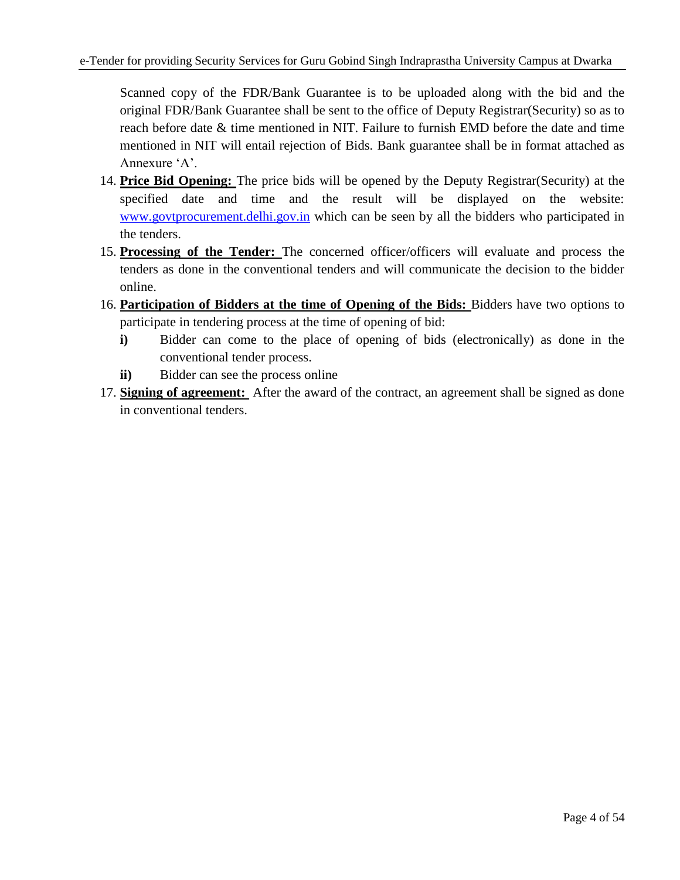Scanned copy of the FDR/Bank Guarantee is to be uploaded along with the bid and the original FDR/Bank Guarantee shall be sent to the office of Deputy Registrar(Security) so as to reach before date & time mentioned in NIT. Failure to furnish EMD before the date and time mentioned in NIT will entail rejection of Bids. Bank guarantee shall be in format attached as Annexure 'A'.

- 14. **Price Bid Opening:** The price bids will be opened by the Deputy Registrar(Security) at the specified date and time and the result will be displayed on the website: [www.govtprocurement.delhi.gov.in](http://www.govtprocurement.delhi.gov.in/) which can be seen by all the bidders who participated in the tenders.
- 15. **Processing of the Tender:** The concerned officer/officers will evaluate and process the tenders as done in the conventional tenders and will communicate the decision to the bidder online.
- 16. **Participation of Bidders at the time of Opening of the Bids:** Bidders have two options to participate in tendering process at the time of opening of bid:
	- **i)** Bidder can come to the place of opening of bids (electronically) as done in the conventional tender process.
	- **ii)** Bidder can see the process online
- 17. **Signing of agreement:** After the award of the contract, an agreement shall be signed as done in conventional tenders.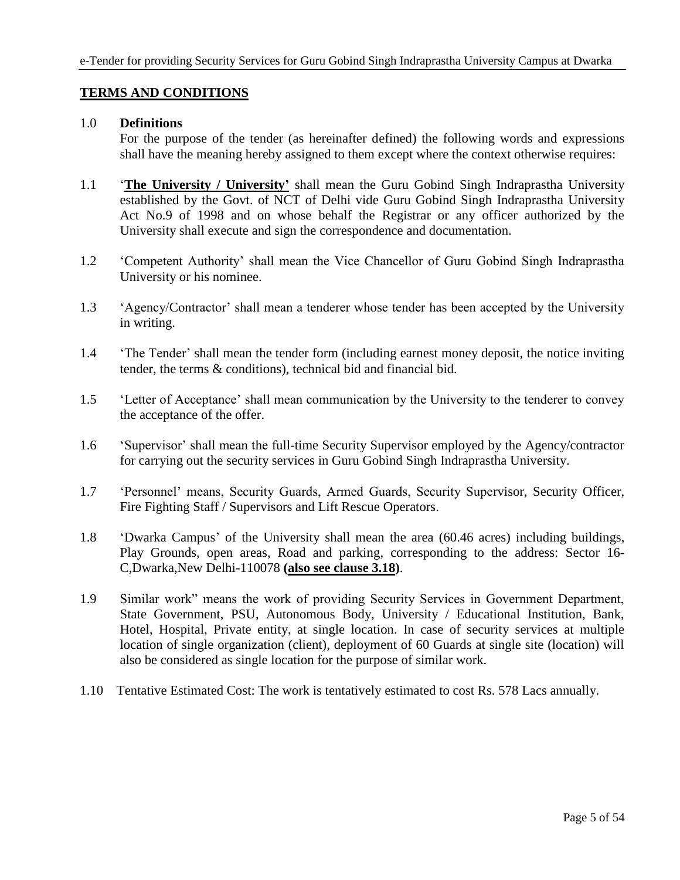## **TERMS AND CONDITIONS**

### 1.0 **Definitions**

For the purpose of the tender (as hereinafter defined) the following words and expressions shall have the meaning hereby assigned to them except where the context otherwise requires:

- 1.1 '**The University / University'** shall mean the Guru Gobind Singh Indraprastha University established by the Govt. of NCT of Delhi vide Guru Gobind Singh Indraprastha University Act No.9 of 1998 and on whose behalf the Registrar or any officer authorized by the University shall execute and sign the correspondence and documentation.
- 1.2 'Competent Authority' shall mean the Vice Chancellor of Guru Gobind Singh Indraprastha University or his nominee.
- 1.3 'Agency/Contractor' shall mean a tenderer whose tender has been accepted by the University in writing.
- 1.4 'The Tender' shall mean the tender form (including earnest money deposit, the notice inviting tender, the terms & conditions), technical bid and financial bid.
- 1.5 'Letter of Acceptance' shall mean communication by the University to the tenderer to convey the acceptance of the offer.
- 1.6 'Supervisor' shall mean the full-time Security Supervisor employed by the Agency/contractor for carrying out the security services in Guru Gobind Singh Indraprastha University.
- 1.7 'Personnel' means, Security Guards, Armed Guards, Security Supervisor, Security Officer, Fire Fighting Staff / Supervisors and Lift Rescue Operators.
- 1.8 'Dwarka Campus' of the University shall mean the area (60.46 acres) including buildings, Play Grounds, open areas, Road and parking, corresponding to the address: Sector 16- C,Dwarka,New Delhi-110078 **(also see clause 3.18)**.
- 1.9 Similar work" means the work of providing Security Services in Government Department, State Government, PSU, Autonomous Body, University / Educational Institution, Bank, Hotel, Hospital, Private entity, at single location. In case of security services at multiple location of single organization (client), deployment of 60 Guards at single site (location) will also be considered as single location for the purpose of similar work.
- 1.10 Tentative Estimated Cost: The work is tentatively estimated to cost Rs. 578 Lacs annually.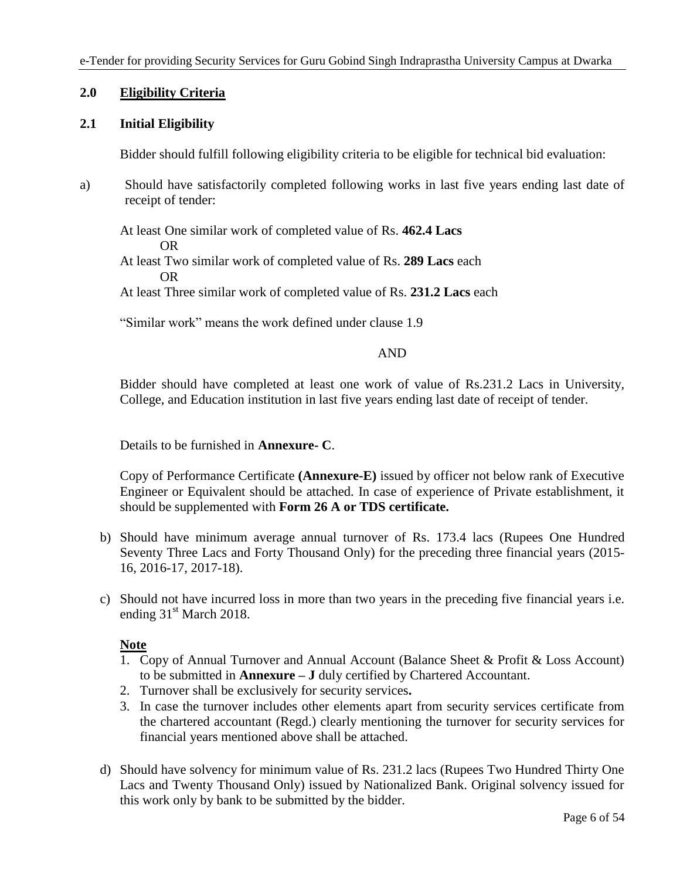## **2.0 Eligibility Criteria**

### **2.1 Initial Eligibility**

Bidder should fulfill following eligibility criteria to be eligible for technical bid evaluation:

a) Should have satisfactorily completed following works in last five years ending last date of receipt of tender:

At least One similar work of completed value of Rs. **462.4 Lacs** OR

At least Two similar work of completed value of Rs. **289 Lacs** each OR

At least Three similar work of completed value of Rs. **231.2 Lacs** each

"Similar work" means the work defined under clause 1.9

#### AND

Bidder should have completed at least one work of value of Rs.231.2 Lacs in University, College, and Education institution in last five years ending last date of receipt of tender.

Details to be furnished in **Annexure- C**.

Copy of Performance Certificate **(Annexure-E)** issued by officer not below rank of Executive Engineer or Equivalent should be attached. In case of experience of Private establishment, it should be supplemented with **Form 26 A or TDS certificate.**

- b) Should have minimum average annual turnover of Rs. 173.4 lacs (Rupees One Hundred Seventy Three Lacs and Forty Thousand Only) for the preceding three financial years (2015- 16, 2016-17, 2017-18).
- c) Should not have incurred loss in more than two years in the preceding five financial years i.e. ending 31<sup>st</sup> March 2018.

## **Note**

- 1. Copy of Annual Turnover and Annual Account (Balance Sheet & Profit & Loss Account) to be submitted in **Annexure – J** duly certified by Chartered Accountant.
- 2. Turnover shall be exclusively for security services**.**
- 3. In case the turnover includes other elements apart from security services certificate from the chartered accountant (Regd.) clearly mentioning the turnover for security services for financial years mentioned above shall be attached.
- d) Should have solvency for minimum value of Rs. 231.2 lacs (Rupees Two Hundred Thirty One Lacs and Twenty Thousand Only) issued by Nationalized Bank. Original solvency issued for this work only by bank to be submitted by the bidder.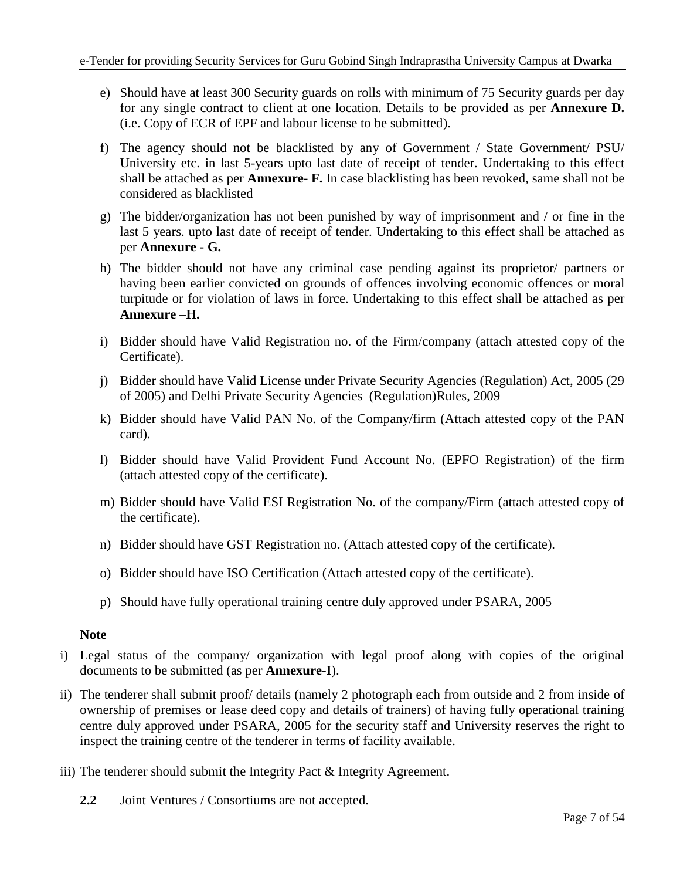- e) Should have at least 300 Security guards on rolls with minimum of 75 Security guards per day for any single contract to client at one location. Details to be provided as per **Annexure D.** (i.e. Copy of ECR of EPF and labour license to be submitted).
- f) The agency should not be blacklisted by any of Government / State Government/ PSU/ University etc. in last 5-years upto last date of receipt of tender. Undertaking to this effect shall be attached as per **Annexure- F.** In case blacklisting has been revoked, same shall not be considered as blacklisted
- g) The bidder/organization has not been punished by way of imprisonment and / or fine in the last 5 years. upto last date of receipt of tender. Undertaking to this effect shall be attached as per **Annexure - G.**
- h) The bidder should not have any criminal case pending against its proprietor/ partners or having been earlier convicted on grounds of offences involving economic offences or moral turpitude or for violation of laws in force. Undertaking to this effect shall be attached as per **Annexure –H.**
- i) Bidder should have Valid Registration no. of the Firm/company (attach attested copy of the Certificate).
- j) Bidder should have Valid License under Private Security Agencies (Regulation) Act, 2005 (29 of 2005) and Delhi Private Security Agencies (Regulation)Rules, 2009
- k) Bidder should have Valid PAN No. of the Company/firm (Attach attested copy of the PAN card).
- l) Bidder should have Valid Provident Fund Account No. (EPFO Registration) of the firm (attach attested copy of the certificate).
- m) Bidder should have Valid ESI Registration No. of the company/Firm (attach attested copy of the certificate).
- n) Bidder should have GST Registration no. (Attach attested copy of the certificate).
- o) Bidder should have ISO Certification (Attach attested copy of the certificate).
- p) Should have fully operational training centre duly approved under PSARA, 2005

## **Note**

- i) Legal status of the company/ organization with legal proof along with copies of the original documents to be submitted (as per **Annexure-I**).
- ii) The tenderer shall submit proof/ details (namely 2 photograph each from outside and 2 from inside of ownership of premises or lease deed copy and details of trainers) of having fully operational training centre duly approved under PSARA, 2005 for the security staff and University reserves the right to inspect the training centre of the tenderer in terms of facility available.
- iii) The tenderer should submit the Integrity Pact & Integrity Agreement.
	- **2.2** Joint Ventures / Consortiums are not accepted.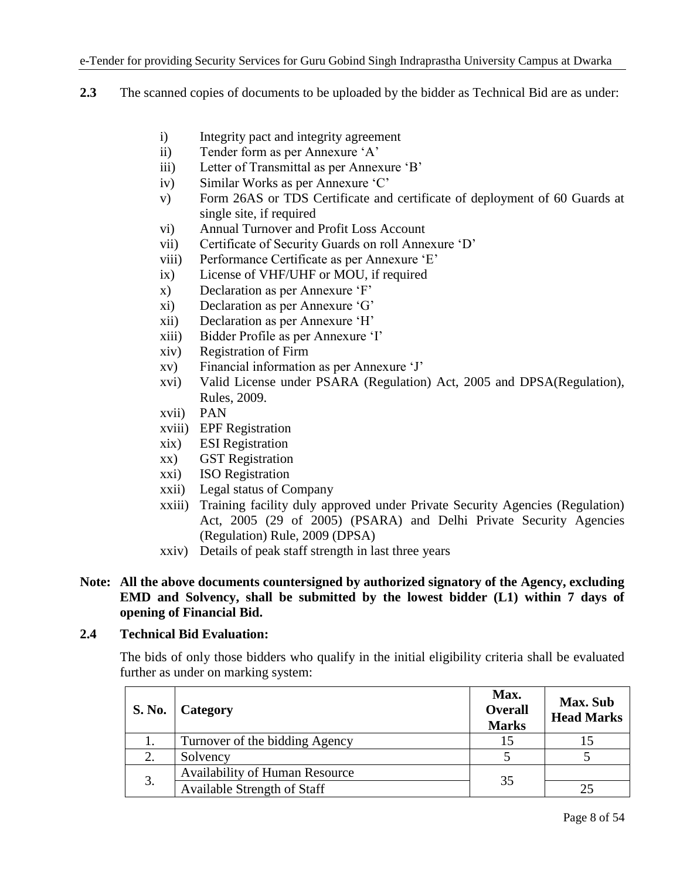- **2.3** The scanned copies of documents to be uploaded by the bidder as Technical Bid are as under:
	- i) Integrity pact and integrity agreement
	- ii) Tender form as per Annexure 'A'
	- iii) Letter of Transmittal as per Annexure 'B'
	- iv) Similar Works as per Annexure 'C'
	- v) Form 26AS or TDS Certificate and certificate of deployment of 60 Guards at single site, if required
	- vi) Annual Turnover and Profit Loss Account
	- vii) Certificate of Security Guards on roll Annexure 'D'
	- viii) Performance Certificate as per Annexure 'E'
	- ix) License of VHF/UHF or MOU, if required
	- x) Declaration as per Annexure 'F'
	- xi) Declaration as per Annexure 'G'
	- xii) Declaration as per Annexure 'H'
	- xiii) Bidder Profile as per Annexure 'I'
	- xiv) Registration of Firm
	- xv) Financial information as per Annexure 'J'
	- xvi) Valid License under PSARA (Regulation) Act, 2005 and DPSA(Regulation), Rules, 2009.
	- xvii) PAN
	- xviii) EPF Registration
	- xix) ESI Registration
	- xx) GST Registration
	- xxi) ISO Registration
	- xxii) Legal status of Company
	- xxiii) Training facility duly approved under Private Security Agencies (Regulation) Act, 2005 (29 of 2005) (PSARA) and Delhi Private Security Agencies (Regulation) Rule, 2009 (DPSA)
	- xxiv) Details of peak staff strength in last three years

## **Note: All the above documents countersigned by authorized signatory of the Agency, excluding EMD and Solvency, shall be submitted by the lowest bidder (L1) within 7 days of opening of Financial Bid.**

## **2.4 Technical Bid Evaluation:**

The bids of only those bidders who qualify in the initial eligibility criteria shall be evaluated further as under on marking system:

| <b>S. No.</b> | Category                              | Max.<br><b>Overall</b><br><b>Marks</b> | <b>Max.</b> Sub<br><b>Head Marks</b> |
|---------------|---------------------------------------|----------------------------------------|--------------------------------------|
|               | Turnover of the bidding Agency        | 15                                     |                                      |
| 2.            | Solvency                              |                                        |                                      |
|               | <b>Availability of Human Resource</b> | 35                                     |                                      |
| 3.            | <b>Available Strength of Staff</b>    |                                        | 25                                   |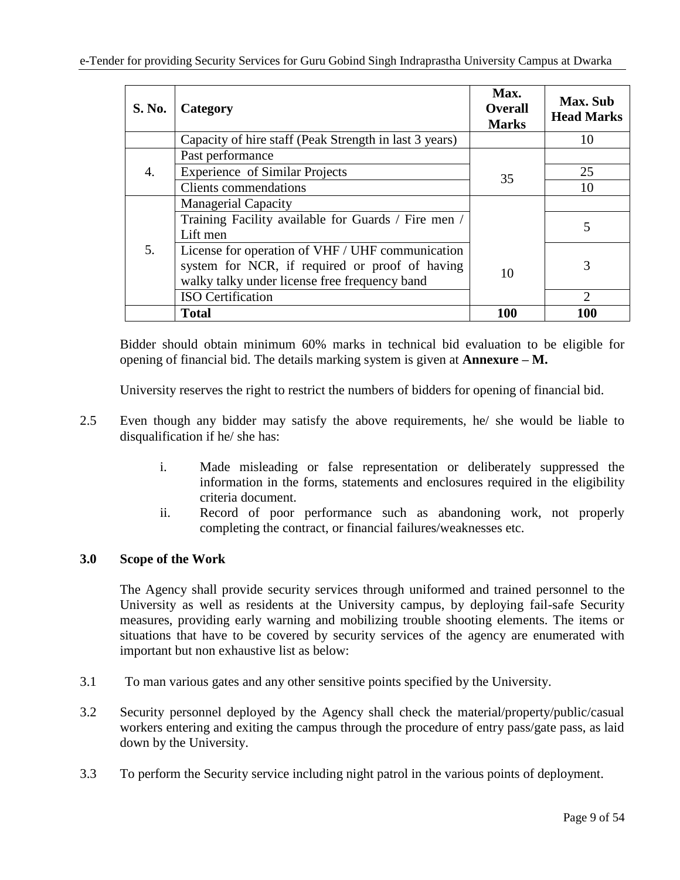| <b>S. No.</b> | Category                                                                                                                                            | Max.<br><b>Overall</b><br><b>Marks</b> | Max. Sub<br><b>Head Marks</b> |
|---------------|-----------------------------------------------------------------------------------------------------------------------------------------------------|----------------------------------------|-------------------------------|
|               | Capacity of hire staff (Peak Strength in last 3 years)                                                                                              |                                        | 10                            |
|               | Past performance                                                                                                                                    |                                        |                               |
| 4.            | <b>Experience of Similar Projects</b>                                                                                                               | 35                                     | 25                            |
|               | <b>Clients</b> commendations                                                                                                                        |                                        | 10                            |
|               | <b>Managerial Capacity</b>                                                                                                                          |                                        |                               |
|               | Training Facility available for Guards / Fire men /<br>Lift men                                                                                     |                                        | 5                             |
| 5.            | License for operation of VHF / UHF communication<br>system for NCR, if required or proof of having<br>walky talky under license free frequency band | 10                                     | 3                             |
|               | <b>ISO</b> Certification                                                                                                                            |                                        | 2                             |
|               | <b>Total</b>                                                                                                                                        | 100                                    | 100                           |

Bidder should obtain minimum 60% marks in technical bid evaluation to be eligible for opening of financial bid. The details marking system is given at **Annexure – M.**

University reserves the right to restrict the numbers of bidders for opening of financial bid.

- 2.5 Even though any bidder may satisfy the above requirements, he/ she would be liable to disqualification if he/ she has:
	- i. Made misleading or false representation or deliberately suppressed the information in the forms, statements and enclosures required in the eligibility criteria document.
	- ii. Record of poor performance such as abandoning work, not properly completing the contract, or financial failures/weaknesses etc.

## **3.0 Scope of the Work**

The Agency shall provide security services through uniformed and trained personnel to the University as well as residents at the University campus, by deploying fail-safe Security measures, providing early warning and mobilizing trouble shooting elements. The items or situations that have to be covered by security services of the agency are enumerated with important but non exhaustive list as below:

- 3.1 To man various gates and any other sensitive points specified by the University.
- 3.2 Security personnel deployed by the Agency shall check the material/property/public/casual workers entering and exiting the campus through the procedure of entry pass/gate pass, as laid down by the University.
- 3.3 To perform the Security service including night patrol in the various points of deployment.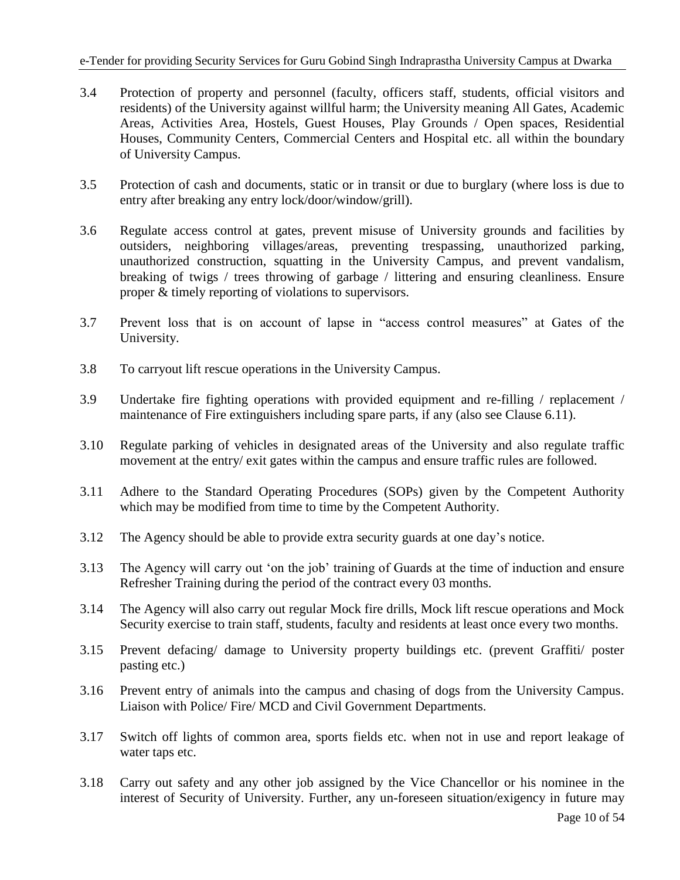- 3.4 Protection of property and personnel (faculty, officers staff, students, official visitors and residents) of the University against willful harm; the University meaning All Gates, Academic Areas, Activities Area, Hostels, Guest Houses, Play Grounds / Open spaces, Residential Houses, Community Centers, Commercial Centers and Hospital etc. all within the boundary of University Campus.
- 3.5 Protection of cash and documents, static or in transit or due to burglary (where loss is due to entry after breaking any entry lock/door/window/grill).
- 3.6 Regulate access control at gates, prevent misuse of University grounds and facilities by outsiders, neighboring villages/areas, preventing trespassing, unauthorized parking, unauthorized construction, squatting in the University Campus, and prevent vandalism, breaking of twigs / trees throwing of garbage / littering and ensuring cleanliness. Ensure proper & timely reporting of violations to supervisors.
- 3.7 Prevent loss that is on account of lapse in "access control measures" at Gates of the University.
- 3.8 To carryout lift rescue operations in the University Campus.
- 3.9 Undertake fire fighting operations with provided equipment and re-filling / replacement / maintenance of Fire extinguishers including spare parts, if any (also see Clause 6.11).
- 3.10 Regulate parking of vehicles in designated areas of the University and also regulate traffic movement at the entry/ exit gates within the campus and ensure traffic rules are followed.
- 3.11 Adhere to the Standard Operating Procedures (SOPs) given by the Competent Authority which may be modified from time to time by the Competent Authority.
- 3.12 The Agency should be able to provide extra security guards at one day's notice.
- 3.13 The Agency will carry out 'on the job' training of Guards at the time of induction and ensure Refresher Training during the period of the contract every 03 months.
- 3.14 The Agency will also carry out regular Mock fire drills, Mock lift rescue operations and Mock Security exercise to train staff, students, faculty and residents at least once every two months.
- 3.15 Prevent defacing/ damage to University property buildings etc. (prevent Graffiti/ poster pasting etc.)
- 3.16 Prevent entry of animals into the campus and chasing of dogs from the University Campus. Liaison with Police/ Fire/ MCD and Civil Government Departments.
- 3.17 Switch off lights of common area, sports fields etc. when not in use and report leakage of water taps etc.
- 3.18 Carry out safety and any other job assigned by the Vice Chancellor or his nominee in the interest of Security of University. Further, any un-foreseen situation/exigency in future may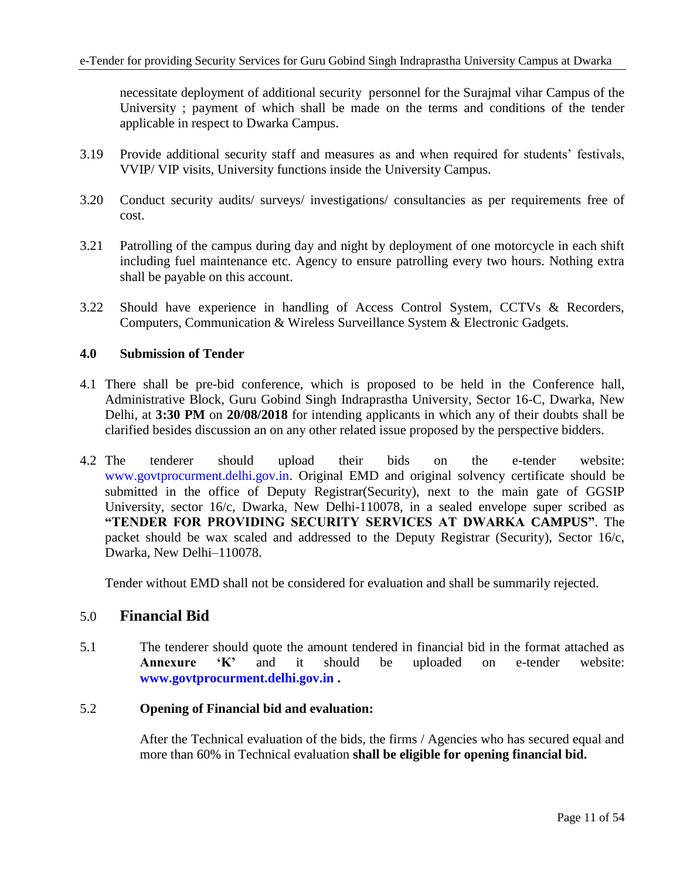necessitate deployment of additional security personnel for the Surajmal vihar Campus of the University ; payment of which shall be made on the terms and conditions of the tender applicable in respect to Dwarka Campus.

- 3.19 Provide additional security staff and measures as and when required for students' festivals, VVIP/ VIP visits, University functions inside the University Campus.
- 3.20 Conduct security audits/ surveys/ investigations/ consultancies as per requirements free of cost.
- 3.21 Patrolling of the campus during day and night by deployment of one motorcycle in each shift including fuel maintenance etc. Agency to ensure patrolling every two hours. Nothing extra shall be payable on this account.
- 3.22 Should have experience in handling of Access Control System, CCTVs & Recorders, Computers, Communication & Wireless Surveillance System & Electronic Gadgets.

### **4.0 Submission of Tender**

- 4.1 There shall be pre-bid conference, which is proposed to be held in the Conference hall, Administrative Block, Guru Gobind Singh Indraprastha University, Sector 16-C, Dwarka, New Delhi, at **3:30 PM** on **20/08/2018** for intending applicants in which any of their doubts shall be clarified besides discussion an on any other related issue proposed by the perspective bidders.
- 4.2 The tenderer should upload their bids on the e-tender website: [www.govtprocurment.delhi.gov.in.](http://www.govtprocurment.delhi.gov.in/) Original EMD and original solvency certificate should be submitted in the office of Deputy Registrar(Security), next to the main gate of GGSIP University, sector 16/c, Dwarka, New Delhi-110078, in a sealed envelope super scribed as **"TENDER FOR PROVIDING SECURITY SERVICES AT DWARKA CAMPUS"**. The packet should be wax scaled and addressed to the Deputy Registrar (Security), Sector 16/c, Dwarka, New Delhi–110078.

Tender without EMD shall not be considered for evaluation and shall be summarily rejected.

## 5.0 **Financial Bid**

5.1 The tenderer should quote the amount tendered in financial bid in the format attached as **Annexure 'K'** and it should be uploaded on e-tender website: **[www.govtprocurment.delhi.gov.in](http://www.govtprocurment.delhi.gov.in/) .**

## 5.2 **Opening of Financial bid and evaluation:**

After the Technical evaluation of the bids, the firms / Agencies who has secured equal and more than 60% in Technical evaluation **shall be eligible for opening financial bid.**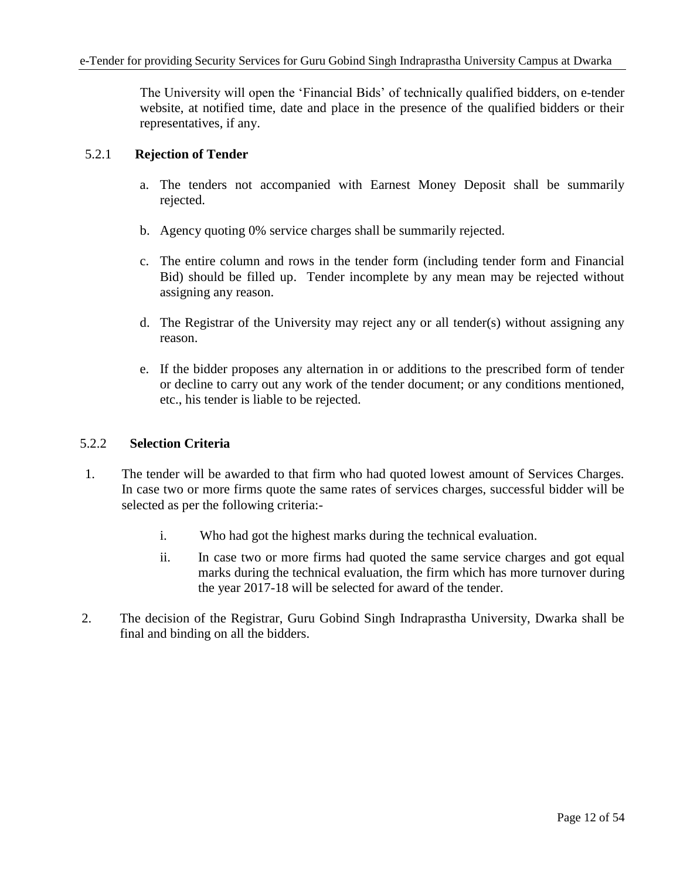The University will open the 'Financial Bids' of technically qualified bidders, on e-tender website, at notified time, date and place in the presence of the qualified bidders or their representatives, if any.

### 5.2.1 **Rejection of Tender**

- a. The tenders not accompanied with Earnest Money Deposit shall be summarily rejected.
- b. Agency quoting 0% service charges shall be summarily rejected.
- c. The entire column and rows in the tender form (including tender form and Financial Bid) should be filled up. Tender incomplete by any mean may be rejected without assigning any reason.
- d. The Registrar of the University may reject any or all tender(s) without assigning any reason.
- e. If the bidder proposes any alternation in or additions to the prescribed form of tender or decline to carry out any work of the tender document; or any conditions mentioned, etc., his tender is liable to be rejected.

### 5.2.2 **Selection Criteria**

- 1. The tender will be awarded to that firm who had quoted lowest amount of Services Charges. In case two or more firms quote the same rates of services charges, successful bidder will be selected as per the following criteria:
	- i. Who had got the highest marks during the technical evaluation.
	- ii. In case two or more firms had quoted the same service charges and got equal marks during the technical evaluation, the firm which has more turnover during the year 2017-18 will be selected for award of the tender.
- 2. The decision of the Registrar, Guru Gobind Singh Indraprastha University, Dwarka shall be final and binding on all the bidders.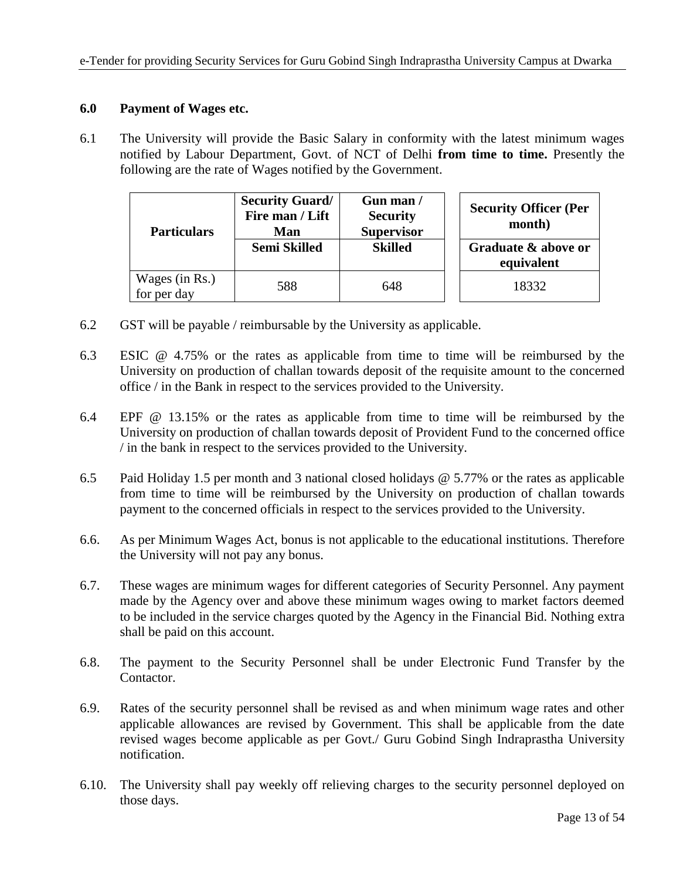### **6.0 Payment of Wages etc.**

6.1 The University will provide the Basic Salary in conformity with the latest minimum wages notified by Labour Department, Govt. of NCT of Delhi **from time to time.** Presently the following are the rate of Wages notified by the Government.

| <b>Particulars</b>            | <b>Security Guard/</b><br>Fire man / Lift<br>Man | Gun man /<br><b>Security</b><br><b>Supervisor</b> | <b>Security Officer (Per</b><br>month) |
|-------------------------------|--------------------------------------------------|---------------------------------------------------|----------------------------------------|
|                               | Semi Skilled                                     | <b>Skilled</b>                                    | Graduate & above or<br>equivalent      |
| Wages (in Rs.)<br>for per day | 588                                              | 648                                               | 18332                                  |

- 6.2 GST will be payable / reimbursable by the University as applicable.
- 6.3 ESIC @ 4.75% or the rates as applicable from time to time will be reimbursed by the University on production of challan towards deposit of the requisite amount to the concerned office / in the Bank in respect to the services provided to the University.
- 6.4 EPF @ 13.15% or the rates as applicable from time to time will be reimbursed by the University on production of challan towards deposit of Provident Fund to the concerned office / in the bank in respect to the services provided to the University.
- 6.5 Paid Holiday 1.5 per month and 3 national closed holidays @ 5.77% or the rates as applicable from time to time will be reimbursed by the University on production of challan towards payment to the concerned officials in respect to the services provided to the University.
- 6.6. As per Minimum Wages Act, bonus is not applicable to the educational institutions. Therefore the University will not pay any bonus.
- 6.7. These wages are minimum wages for different categories of Security Personnel. Any payment made by the Agency over and above these minimum wages owing to market factors deemed to be included in the service charges quoted by the Agency in the Financial Bid. Nothing extra shall be paid on this account.
- 6.8. The payment to the Security Personnel shall be under Electronic Fund Transfer by the Contactor.
- 6.9. Rates of the security personnel shall be revised as and when minimum wage rates and other applicable allowances are revised by Government. This shall be applicable from the date revised wages become applicable as per Govt./ Guru Gobind Singh Indraprastha University notification.
- 6.10. The University shall pay weekly off relieving charges to the security personnel deployed on those days.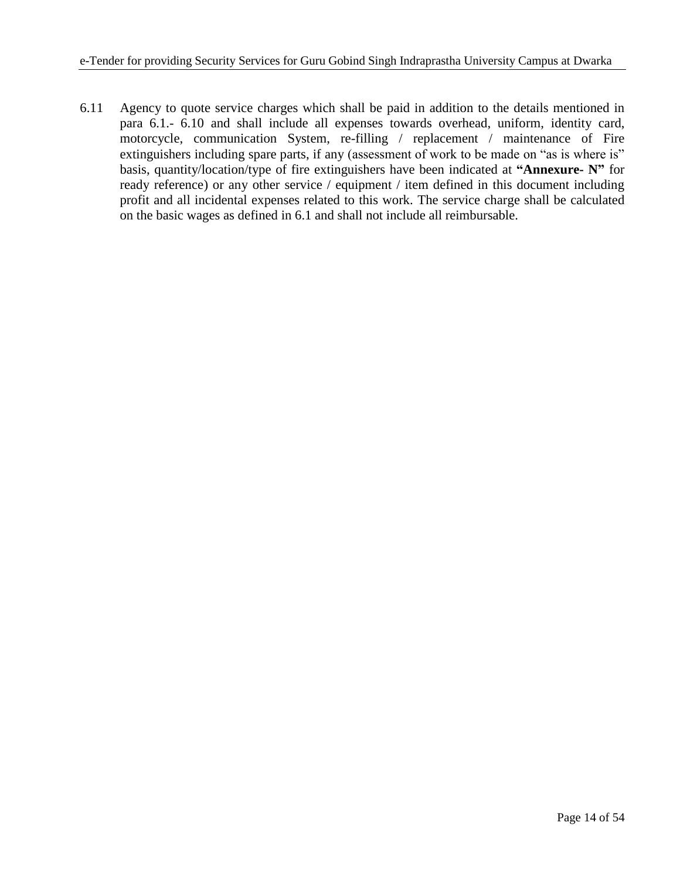6.11 Agency to quote service charges which shall be paid in addition to the details mentioned in para 6.1.- 6.10 and shall include all expenses towards overhead, uniform, identity card, motorcycle, communication System, re-filling / replacement / maintenance of Fire extinguishers including spare parts, if any (assessment of work to be made on "as is where is" basis, quantity/location/type of fire extinguishers have been indicated at **"Annexure- N"** for ready reference) or any other service / equipment / item defined in this document including profit and all incidental expenses related to this work. The service charge shall be calculated on the basic wages as defined in 6.1 and shall not include all reimbursable.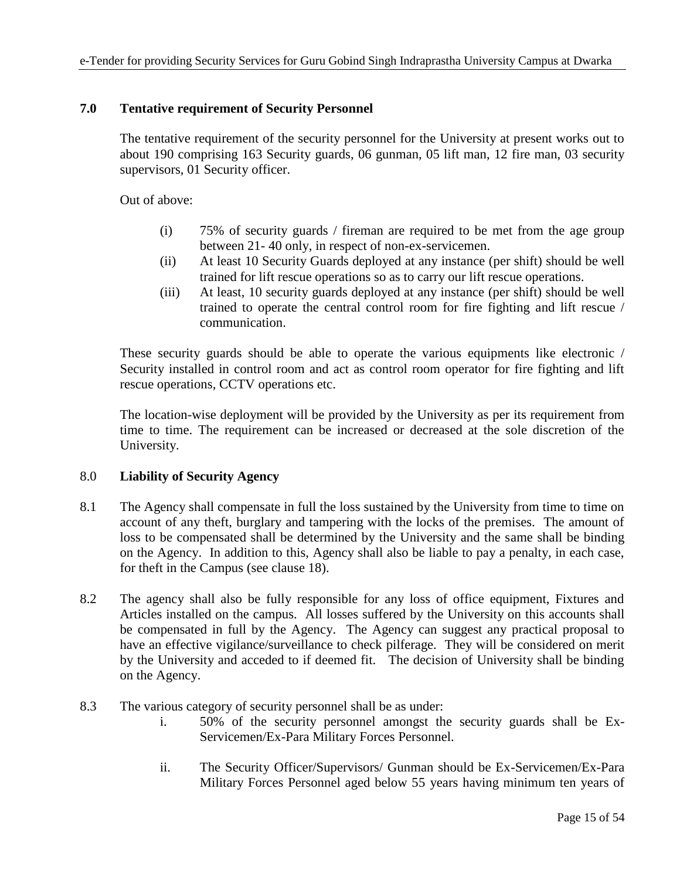## **7.0 Tentative requirement of Security Personnel**

The tentative requirement of the security personnel for the University at present works out to about 190 comprising 163 Security guards, 06 gunman, 05 lift man, 12 fire man, 03 security supervisors, 01 Security officer.

Out of above:

- (i) 75% of security guards / fireman are required to be met from the age group between 21- 40 only, in respect of non-ex-servicemen.
- (ii) At least 10 Security Guards deployed at any instance (per shift) should be well trained for lift rescue operations so as to carry our lift rescue operations.
- (iii) At least, 10 security guards deployed at any instance (per shift) should be well trained to operate the central control room for fire fighting and lift rescue / communication.

These security guards should be able to operate the various equipments like electronic / Security installed in control room and act as control room operator for fire fighting and lift rescue operations, CCTV operations etc.

The location-wise deployment will be provided by the University as per its requirement from time to time. The requirement can be increased or decreased at the sole discretion of the University.

## 8.0 **Liability of Security Agency**

- 8.1 The Agency shall compensate in full the loss sustained by the University from time to time on account of any theft, burglary and tampering with the locks of the premises. The amount of loss to be compensated shall be determined by the University and the same shall be binding on the Agency. In addition to this, Agency shall also be liable to pay a penalty, in each case, for theft in the Campus (see clause 18).
- 8.2 The agency shall also be fully responsible for any loss of office equipment, Fixtures and Articles installed on the campus. All losses suffered by the University on this accounts shall be compensated in full by the Agency. The Agency can suggest any practical proposal to have an effective vigilance/surveillance to check pilferage. They will be considered on merit by the University and acceded to if deemed fit. The decision of University shall be binding on the Agency.
- 8.3 The various category of security personnel shall be as under:
	- i. 50% of the security personnel amongst the security guards shall be Ex-Servicemen/Ex-Para Military Forces Personnel.
	- ii. The Security Officer/Supervisors/ Gunman should be Ex-Servicemen/Ex-Para Military Forces Personnel aged below 55 years having minimum ten years of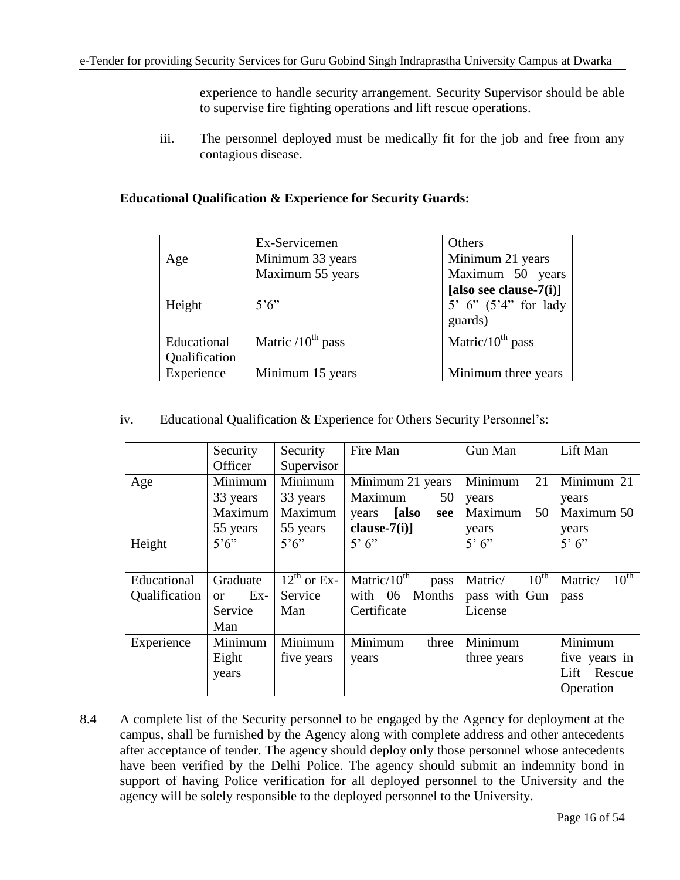experience to handle security arrangement. Security Supervisor should be able to supervise fire fighting operations and lift rescue operations.

iii. The personnel deployed must be medically fit for the job and free from any contagious disease.

|               | Ex-Servicemen          | Others                     |
|---------------|------------------------|----------------------------|
| Age           | Minimum 33 years       | Minimum 21 years           |
|               | Maximum 55 years       | Maximum 50 years           |
|               |                        | [also see clause- $7(i)$ ] |
| Height        | $5^\circ 6$            | 5' 6" $(5'4'')$ for lady   |
|               |                        | guards)                    |
| Educational   | Matric $/10^{th}$ pass | Matric/ $10^{th}$ pass     |
| Qualification |                        |                            |
| Experience    | Minimum 15 years       | Minimum three years        |

## **Educational Qualification & Experience for Security Guards:**

iv. Educational Qualification & Experience for Others Security Personnel's:

|               | Security             | Security                           | Fire Man                  | Gun Man                     | Lift Man                    |  |
|---------------|----------------------|------------------------------------|---------------------------|-----------------------------|-----------------------------|--|
|               | Officer              | Supervisor                         |                           |                             |                             |  |
| Age           | Minimum              | Minimum                            | Minimum 21 years          | Minimum<br>21               | Minimum 21                  |  |
|               | 33 years             | 33 years                           | Maximum<br>50             | years                       | years                       |  |
|               | Maximum              | Maximum                            | [also<br>years<br>see     | Maximum<br>50               | Maximum 50                  |  |
|               | 55 years             | 55 years                           | clause- $7(i)$ ]          | years                       | years                       |  |
| Height        | $5^{\circ}6^{\circ}$ | $5^{\circ}6^{\circ}$               | 5'6'                      | 5'6'                        | 5'6'                        |  |
|               |                      |                                    |                           |                             |                             |  |
| Educational   | Graduate             | $\overline{12}^{\text{th}}$ or Ex- | Matric/ $10^{th}$<br>pass | $10^{\text{th}}$<br>Matric/ | $10^{\text{th}}$<br>Matric/ |  |
| Qualification | $Ex-$<br><b>or</b>   | Service                            | Months<br>with 06         | pass with Gun               | pass                        |  |
|               | Service              | Man                                | Certificate               | License                     |                             |  |
|               | Man                  |                                    |                           |                             |                             |  |
| Experience    | Minimum              | Minimum                            | Minimum<br>three          | Minimum                     | Minimum                     |  |
|               | Eight                | five years                         | years                     | three years                 | five years in               |  |
|               | years                |                                    |                           |                             | Rescue<br>Lift              |  |
|               |                      |                                    |                           |                             | Operation                   |  |

8.4 A complete list of the Security personnel to be engaged by the Agency for deployment at the campus, shall be furnished by the Agency along with complete address and other antecedents after acceptance of tender. The agency should deploy only those personnel whose antecedents have been verified by the Delhi Police. The agency should submit an indemnity bond in support of having Police verification for all deployed personnel to the University and the agency will be solely responsible to the deployed personnel to the University.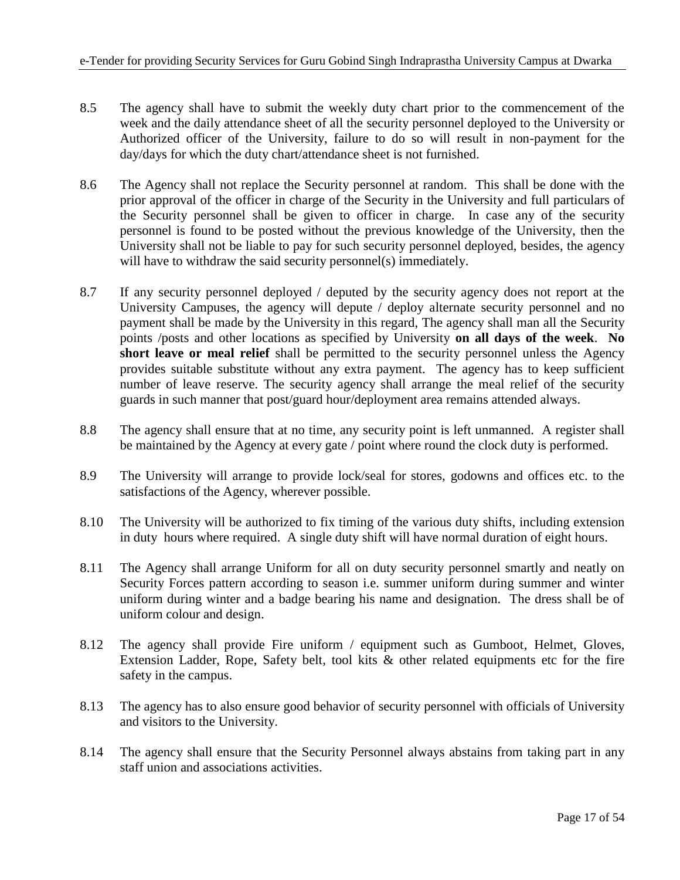- 8.5 The agency shall have to submit the weekly duty chart prior to the commencement of the week and the daily attendance sheet of all the security personnel deployed to the University or Authorized officer of the University, failure to do so will result in non-payment for the day/days for which the duty chart/attendance sheet is not furnished.
- 8.6 The Agency shall not replace the Security personnel at random. This shall be done with the prior approval of the officer in charge of the Security in the University and full particulars of the Security personnel shall be given to officer in charge. In case any of the security personnel is found to be posted without the previous knowledge of the University, then the University shall not be liable to pay for such security personnel deployed, besides, the agency will have to withdraw the said security personnel(s) immediately.
- 8.7 If any security personnel deployed / deputed by the security agency does not report at the University Campuses, the agency will depute / deploy alternate security personnel and no payment shall be made by the University in this regard, The agency shall man all the Security points /posts and other locations as specified by University **on all days of the week**. **No short leave or meal relief** shall be permitted to the security personnel unless the Agency provides suitable substitute without any extra payment. The agency has to keep sufficient number of leave reserve. The security agency shall arrange the meal relief of the security guards in such manner that post/guard hour/deployment area remains attended always.
- 8.8 The agency shall ensure that at no time, any security point is left unmanned. A register shall be maintained by the Agency at every gate / point where round the clock duty is performed.
- 8.9 The University will arrange to provide lock/seal for stores, godowns and offices etc. to the satisfactions of the Agency, wherever possible.
- 8.10 The University will be authorized to fix timing of the various duty shifts, including extension in duty hours where required. A single duty shift will have normal duration of eight hours.
- 8.11 The Agency shall arrange Uniform for all on duty security personnel smartly and neatly on Security Forces pattern according to season i.e. summer uniform during summer and winter uniform during winter and a badge bearing his name and designation. The dress shall be of uniform colour and design.
- 8.12 The agency shall provide Fire uniform / equipment such as Gumboot, Helmet, Gloves, Extension Ladder, Rope, Safety belt, tool kits & other related equipments etc for the fire safety in the campus.
- 8.13 The agency has to also ensure good behavior of security personnel with officials of University and visitors to the University.
- 8.14 The agency shall ensure that the Security Personnel always abstains from taking part in any staff union and associations activities.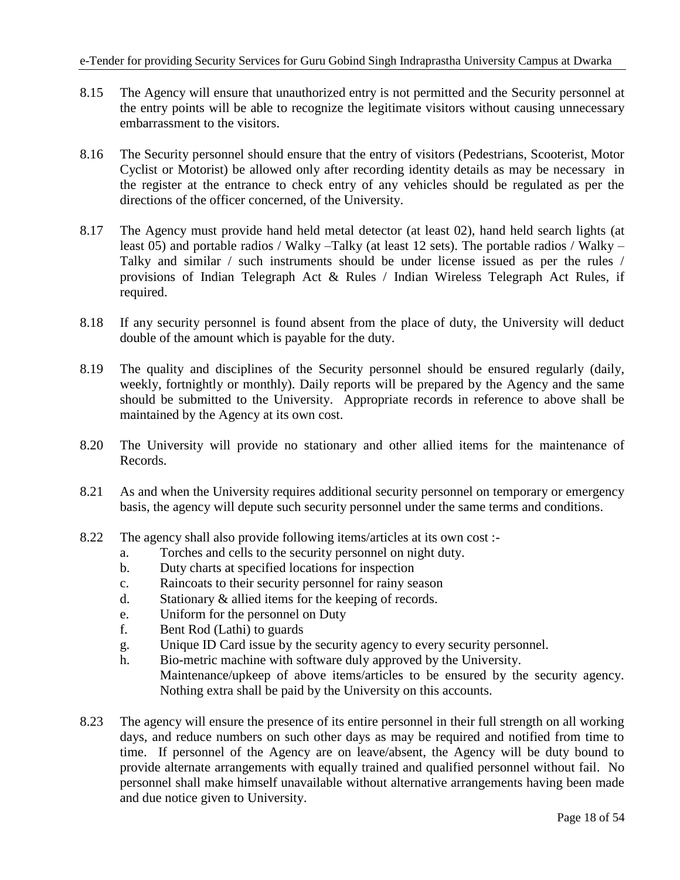- 8.15 The Agency will ensure that unauthorized entry is not permitted and the Security personnel at the entry points will be able to recognize the legitimate visitors without causing unnecessary embarrassment to the visitors.
- 8.16 The Security personnel should ensure that the entry of visitors (Pedestrians, Scooterist, Motor Cyclist or Motorist) be allowed only after recording identity details as may be necessary in the register at the entrance to check entry of any vehicles should be regulated as per the directions of the officer concerned, of the University.
- 8.17 The Agency must provide hand held metal detector (at least 02), hand held search lights (at least 05) and portable radios / Walky –Talky (at least 12 sets). The portable radios / Walky – Talky and similar / such instruments should be under license issued as per the rules / provisions of Indian Telegraph Act & Rules / Indian Wireless Telegraph Act Rules, if required.
- 8.18 If any security personnel is found absent from the place of duty, the University will deduct double of the amount which is payable for the duty.
- 8.19 The quality and disciplines of the Security personnel should be ensured regularly (daily, weekly, fortnightly or monthly). Daily reports will be prepared by the Agency and the same should be submitted to the University. Appropriate records in reference to above shall be maintained by the Agency at its own cost.
- 8.20 The University will provide no stationary and other allied items for the maintenance of Records.
- 8.21 As and when the University requires additional security personnel on temporary or emergency basis, the agency will depute such security personnel under the same terms and conditions.
- 8.22 The agency shall also provide following items/articles at its own cost :
	- a. Torches and cells to the security personnel on night duty.
	- b. Duty charts at specified locations for inspection
	- c. Raincoats to their security personnel for rainy season
	- d. Stationary & allied items for the keeping of records.
	- e. Uniform for the personnel on Duty
	- f. Bent Rod (Lathi) to guards
	- g. Unique ID Card issue by the security agency to every security personnel.
	- h. Bio-metric machine with software duly approved by the University.

Maintenance/upkeep of above items/articles to be ensured by the security agency. Nothing extra shall be paid by the University on this accounts.

8.23 The agency will ensure the presence of its entire personnel in their full strength on all working days, and reduce numbers on such other days as may be required and notified from time to time. If personnel of the Agency are on leave/absent, the Agency will be duty bound to provide alternate arrangements with equally trained and qualified personnel without fail. No personnel shall make himself unavailable without alternative arrangements having been made and due notice given to University.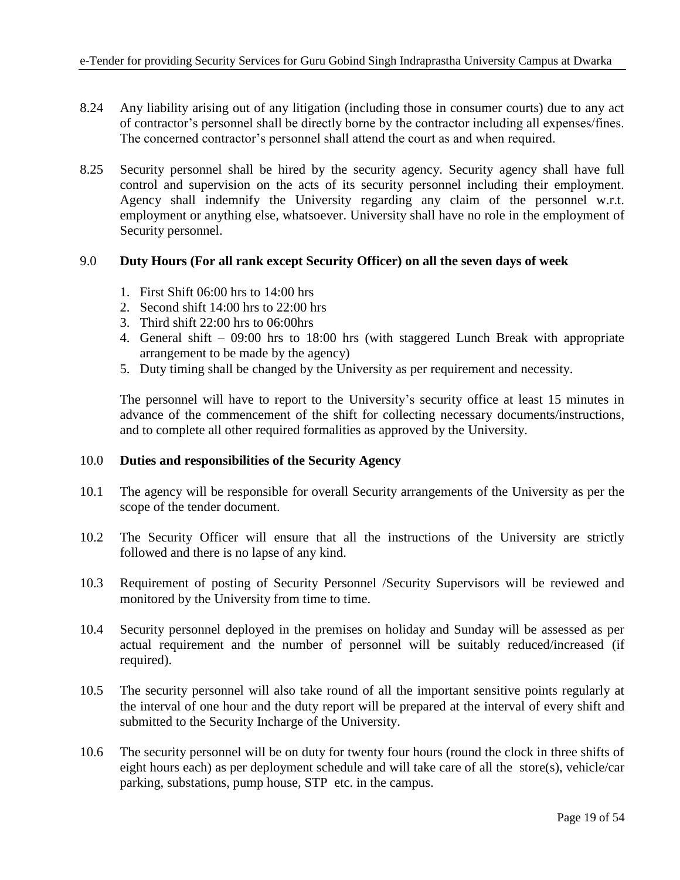- 8.24 Any liability arising out of any litigation (including those in consumer courts) due to any act of contractor's personnel shall be directly borne by the contractor including all expenses/fines. The concerned contractor's personnel shall attend the court as and when required.
- 8.25 Security personnel shall be hired by the security agency. Security agency shall have full control and supervision on the acts of its security personnel including their employment. Agency shall indemnify the University regarding any claim of the personnel w.r.t. employment or anything else, whatsoever. University shall have no role in the employment of Security personnel.

### 9.0 **Duty Hours (For all rank except Security Officer) on all the seven days of week**

- 1. First Shift 06:00 hrs to 14:00 hrs
- 2. Second shift 14:00 hrs to 22:00 hrs
- 3. Third shift 22:00 hrs to 06:00hrs
- 4. General shift 09:00 hrs to 18:00 hrs (with staggered Lunch Break with appropriate arrangement to be made by the agency)
- 5. Duty timing shall be changed by the University as per requirement and necessity.

The personnel will have to report to the University's security office at least 15 minutes in advance of the commencement of the shift for collecting necessary documents/instructions, and to complete all other required formalities as approved by the University.

#### 10.0 **Duties and responsibilities of the Security Agency**

- 10.1 The agency will be responsible for overall Security arrangements of the University as per the scope of the tender document.
- 10.2 The Security Officer will ensure that all the instructions of the University are strictly followed and there is no lapse of any kind.
- 10.3 Requirement of posting of Security Personnel /Security Supervisors will be reviewed and monitored by the University from time to time.
- 10.4 Security personnel deployed in the premises on holiday and Sunday will be assessed as per actual requirement and the number of personnel will be suitably reduced/increased (if required).
- 10.5 The security personnel will also take round of all the important sensitive points regularly at the interval of one hour and the duty report will be prepared at the interval of every shift and submitted to the Security Incharge of the University.
- 10.6 The security personnel will be on duty for twenty four hours (round the clock in three shifts of eight hours each) as per deployment schedule and will take care of all the store(s), vehicle/car parking, substations, pump house, STP etc. in the campus.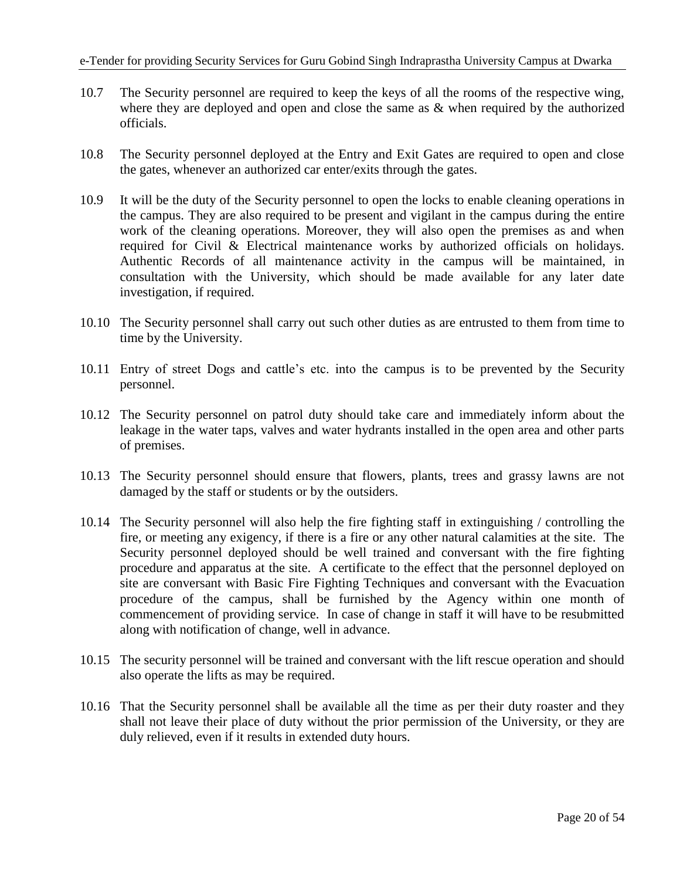- 10.7 The Security personnel are required to keep the keys of all the rooms of the respective wing, where they are deployed and open and close the same as & when required by the authorized officials.
- 10.8 The Security personnel deployed at the Entry and Exit Gates are required to open and close the gates, whenever an authorized car enter/exits through the gates.
- 10.9 It will be the duty of the Security personnel to open the locks to enable cleaning operations in the campus. They are also required to be present and vigilant in the campus during the entire work of the cleaning operations. Moreover, they will also open the premises as and when required for Civil & Electrical maintenance works by authorized officials on holidays. Authentic Records of all maintenance activity in the campus will be maintained, in consultation with the University, which should be made available for any later date investigation, if required.
- 10.10 The Security personnel shall carry out such other duties as are entrusted to them from time to time by the University.
- 10.11 Entry of street Dogs and cattle's etc. into the campus is to be prevented by the Security personnel.
- 10.12 The Security personnel on patrol duty should take care and immediately inform about the leakage in the water taps, valves and water hydrants installed in the open area and other parts of premises.
- 10.13 The Security personnel should ensure that flowers, plants, trees and grassy lawns are not damaged by the staff or students or by the outsiders.
- 10.14 The Security personnel will also help the fire fighting staff in extinguishing / controlling the fire, or meeting any exigency, if there is a fire or any other natural calamities at the site. The Security personnel deployed should be well trained and conversant with the fire fighting procedure and apparatus at the site. A certificate to the effect that the personnel deployed on site are conversant with Basic Fire Fighting Techniques and conversant with the Evacuation procedure of the campus, shall be furnished by the Agency within one month of commencement of providing service. In case of change in staff it will have to be resubmitted along with notification of change, well in advance.
- 10.15 The security personnel will be trained and conversant with the lift rescue operation and should also operate the lifts as may be required.
- 10.16 That the Security personnel shall be available all the time as per their duty roaster and they shall not leave their place of duty without the prior permission of the University, or they are duly relieved, even if it results in extended duty hours.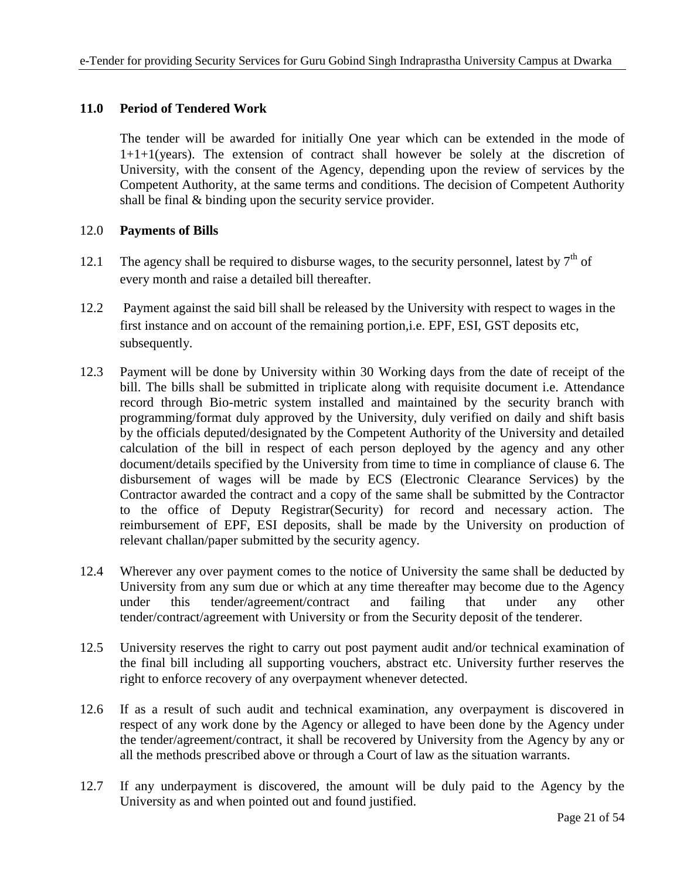## **11.0 Period of Tendered Work**

The tender will be awarded for initially One year which can be extended in the mode of 1+1+1(years). The extension of contract shall however be solely at the discretion of University, with the consent of the Agency, depending upon the review of services by the Competent Authority, at the same terms and conditions. The decision of Competent Authority shall be final & binding upon the security service provider.

### 12.0 **Payments of Bills**

- 12.1 The agency shall be required to disburse wages, to the security personnel, latest by  $7<sup>th</sup>$  of every month and raise a detailed bill thereafter.
- 12.2 Payment against the said bill shall be released by the University with respect to wages in the first instance and on account of the remaining portion,i.e. EPF, ESI, GST deposits etc, subsequently.
- 12.3 Payment will be done by University within 30 Working days from the date of receipt of the bill. The bills shall be submitted in triplicate along with requisite document i.e. Attendance record through Bio-metric system installed and maintained by the security branch with programming/format duly approved by the University, duly verified on daily and shift basis by the officials deputed/designated by the Competent Authority of the University and detailed calculation of the bill in respect of each person deployed by the agency and any other document/details specified by the University from time to time in compliance of clause 6. The disbursement of wages will be made by ECS (Electronic Clearance Services) by the Contractor awarded the contract and a copy of the same shall be submitted by the Contractor to the office of Deputy Registrar(Security) for record and necessary action. The reimbursement of EPF, ESI deposits, shall be made by the University on production of relevant challan/paper submitted by the security agency.
- 12.4 Wherever any over payment comes to the notice of University the same shall be deducted by University from any sum due or which at any time thereafter may become due to the Agency under this tender/agreement/contract and failing that under any other tender/contract/agreement with University or from the Security deposit of the tenderer.
- 12.5 University reserves the right to carry out post payment audit and/or technical examination of the final bill including all supporting vouchers, abstract etc. University further reserves the right to enforce recovery of any overpayment whenever detected.
- 12.6 If as a result of such audit and technical examination, any overpayment is discovered in respect of any work done by the Agency or alleged to have been done by the Agency under the tender/agreement/contract, it shall be recovered by University from the Agency by any or all the methods prescribed above or through a Court of law as the situation warrants.
- 12.7 If any underpayment is discovered, the amount will be duly paid to the Agency by the University as and when pointed out and found justified.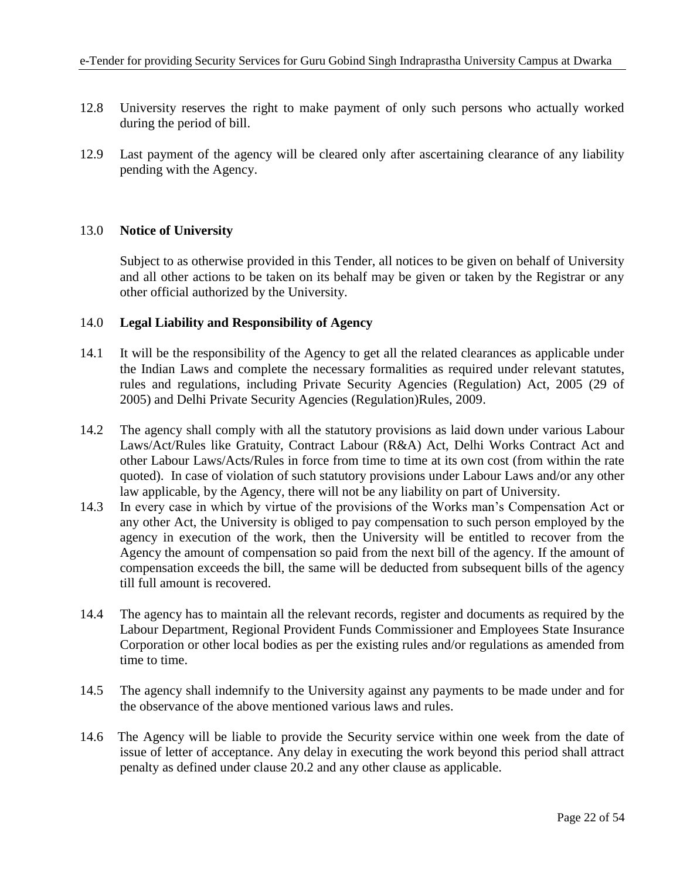- 12.8 University reserves the right to make payment of only such persons who actually worked during the period of bill.
- 12.9 Last payment of the agency will be cleared only after ascertaining clearance of any liability pending with the Agency.

## 13.0 **Notice of University**

Subject to as otherwise provided in this Tender, all notices to be given on behalf of University and all other actions to be taken on its behalf may be given or taken by the Registrar or any other official authorized by the University.

### 14.0 **Legal Liability and Responsibility of Agency**

- 14.1 It will be the responsibility of the Agency to get all the related clearances as applicable under the Indian Laws and complete the necessary formalities as required under relevant statutes, rules and regulations, including Private Security Agencies (Regulation) Act, 2005 (29 of 2005) and Delhi Private Security Agencies (Regulation)Rules, 2009.
- 14.2 The agency shall comply with all the statutory provisions as laid down under various Labour Laws/Act/Rules like Gratuity, Contract Labour (R&A) Act, Delhi Works Contract Act and other Labour Laws/Acts/Rules in force from time to time at its own cost (from within the rate quoted). In case of violation of such statutory provisions under Labour Laws and/or any other law applicable, by the Agency, there will not be any liability on part of University.
- 14.3 In every case in which by virtue of the provisions of the Works man's Compensation Act or any other Act, the University is obliged to pay compensation to such person employed by the agency in execution of the work, then the University will be entitled to recover from the Agency the amount of compensation so paid from the next bill of the agency. If the amount of compensation exceeds the bill, the same will be deducted from subsequent bills of the agency till full amount is recovered.
- 14.4 The agency has to maintain all the relevant records, register and documents as required by the Labour Department, Regional Provident Funds Commissioner and Employees State Insurance Corporation or other local bodies as per the existing rules and/or regulations as amended from time to time.
- 14.5 The agency shall indemnify to the University against any payments to be made under and for the observance of the above mentioned various laws and rules.
- 14.6 The Agency will be liable to provide the Security service within one week from the date of issue of letter of acceptance. Any delay in executing the work beyond this period shall attract penalty as defined under clause 20.2 and any other clause as applicable.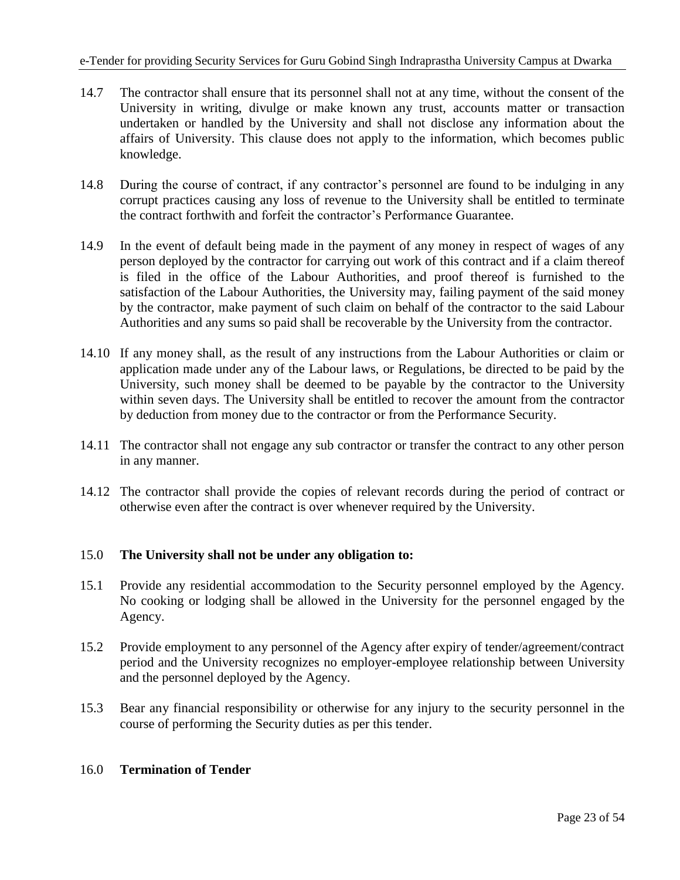- 14.7 The contractor shall ensure that its personnel shall not at any time, without the consent of the University in writing, divulge or make known any trust, accounts matter or transaction undertaken or handled by the University and shall not disclose any information about the affairs of University. This clause does not apply to the information, which becomes public knowledge.
- 14.8 During the course of contract, if any contractor's personnel are found to be indulging in any corrupt practices causing any loss of revenue to the University shall be entitled to terminate the contract forthwith and forfeit the contractor's Performance Guarantee.
- 14.9 In the event of default being made in the payment of any money in respect of wages of any person deployed by the contractor for carrying out work of this contract and if a claim thereof is filed in the office of the Labour Authorities, and proof thereof is furnished to the satisfaction of the Labour Authorities, the University may, failing payment of the said money by the contractor, make payment of such claim on behalf of the contractor to the said Labour Authorities and any sums so paid shall be recoverable by the University from the contractor.
- 14.10 If any money shall, as the result of any instructions from the Labour Authorities or claim or application made under any of the Labour laws, or Regulations, be directed to be paid by the University, such money shall be deemed to be payable by the contractor to the University within seven days. The University shall be entitled to recover the amount from the contractor by deduction from money due to the contractor or from the Performance Security.
- 14.11 The contractor shall not engage any sub contractor or transfer the contract to any other person in any manner.
- 14.12 The contractor shall provide the copies of relevant records during the period of contract or otherwise even after the contract is over whenever required by the University.

## 15.0 **The University shall not be under any obligation to:**

- 15.1 Provide any residential accommodation to the Security personnel employed by the Agency. No cooking or lodging shall be allowed in the University for the personnel engaged by the Agency.
- 15.2 Provide employment to any personnel of the Agency after expiry of tender/agreement/contract period and the University recognizes no employer-employee relationship between University and the personnel deployed by the Agency.
- 15.3 Bear any financial responsibility or otherwise for any injury to the security personnel in the course of performing the Security duties as per this tender.

## 16.0 **Termination of Tender**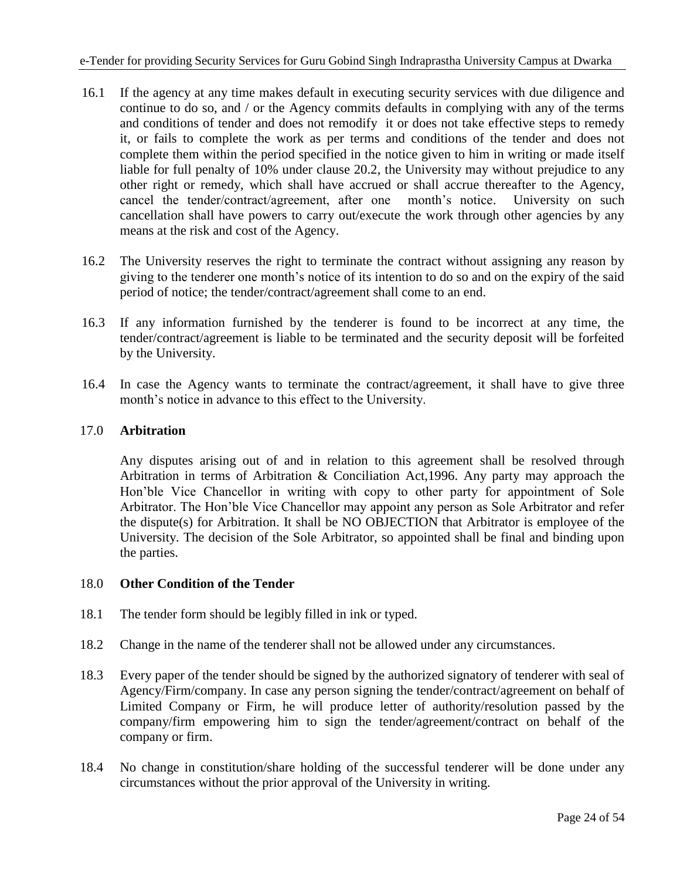- 16.1 If the agency at any time makes default in executing security services with due diligence and continue to do so, and / or the Agency commits defaults in complying with any of the terms and conditions of tender and does not remodify it or does not take effective steps to remedy it, or fails to complete the work as per terms and conditions of the tender and does not complete them within the period specified in the notice given to him in writing or made itself liable for full penalty of 10% under clause 20.2, the University may without prejudice to any other right or remedy, which shall have accrued or shall accrue thereafter to the Agency, cancel the tender/contract/agreement, after one month's notice. University on such cancellation shall have powers to carry out/execute the work through other agencies by any means at the risk and cost of the Agency.
- 16.2 The University reserves the right to terminate the contract without assigning any reason by giving to the tenderer one month's notice of its intention to do so and on the expiry of the said period of notice; the tender/contract/agreement shall come to an end.
- 16.3 If any information furnished by the tenderer is found to be incorrect at any time, the tender/contract/agreement is liable to be terminated and the security deposit will be forfeited by the University.
- 16.4 In case the Agency wants to terminate the contract/agreement, it shall have to give three month's notice in advance to this effect to the University.

## 17.0 **Arbitration**

Any disputes arising out of and in relation to this agreement shall be resolved through Arbitration in terms of Arbitration & Conciliation Act,1996. Any party may approach the Hon'ble Vice Chancellor in writing with copy to other party for appointment of Sole Arbitrator. The Hon'ble Vice Chancellor may appoint any person as Sole Arbitrator and refer the dispute(s) for Arbitration. It shall be NO OBJECTION that Arbitrator is employee of the University. The decision of the Sole Arbitrator, so appointed shall be final and binding upon the parties.

## 18.0 **Other Condition of the Tender**

- 18.1 The tender form should be legibly filled in ink or typed.
- 18.2 Change in the name of the tenderer shall not be allowed under any circumstances.
- 18.3 Every paper of the tender should be signed by the authorized signatory of tenderer with seal of Agency/Firm/company. In case any person signing the tender/contract/agreement on behalf of Limited Company or Firm, he will produce letter of authority/resolution passed by the company/firm empowering him to sign the tender/agreement/contract on behalf of the company or firm.
- 18.4 No change in constitution/share holding of the successful tenderer will be done under any circumstances without the prior approval of the University in writing.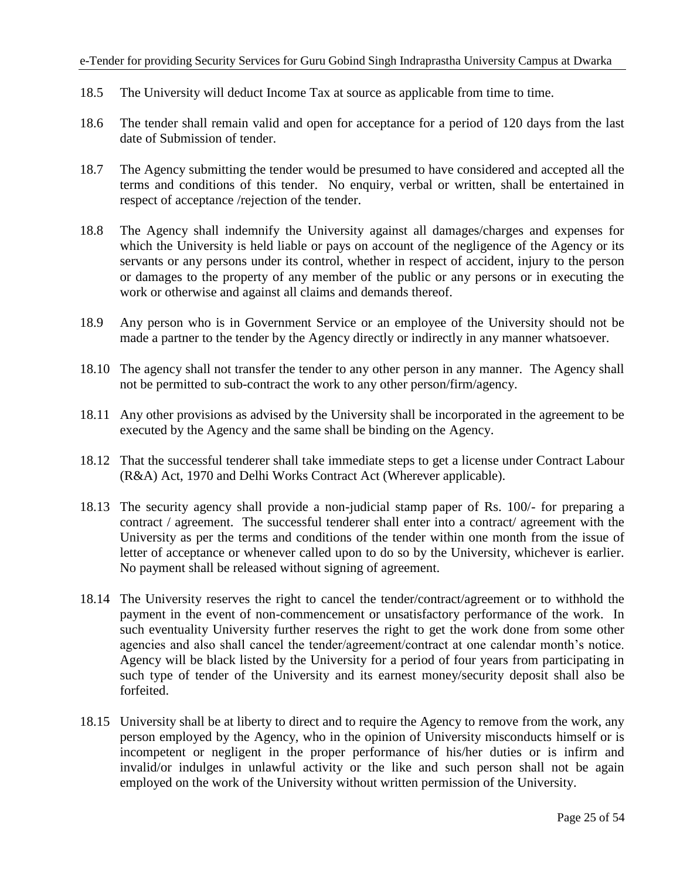- 18.5 The University will deduct Income Tax at source as applicable from time to time.
- 18.6 The tender shall remain valid and open for acceptance for a period of 120 days from the last date of Submission of tender.
- 18.7 The Agency submitting the tender would be presumed to have considered and accepted all the terms and conditions of this tender. No enquiry, verbal or written, shall be entertained in respect of acceptance /rejection of the tender.
- 18.8 The Agency shall indemnify the University against all damages/charges and expenses for which the University is held liable or pays on account of the negligence of the Agency or its servants or any persons under its control, whether in respect of accident, injury to the person or damages to the property of any member of the public or any persons or in executing the work or otherwise and against all claims and demands thereof.
- 18.9 Any person who is in Government Service or an employee of the University should not be made a partner to the tender by the Agency directly or indirectly in any manner whatsoever.
- 18.10 The agency shall not transfer the tender to any other person in any manner. The Agency shall not be permitted to sub-contract the work to any other person/firm/agency.
- 18.11 Any other provisions as advised by the University shall be incorporated in the agreement to be executed by the Agency and the same shall be binding on the Agency.
- 18.12 That the successful tenderer shall take immediate steps to get a license under Contract Labour (R&A) Act, 1970 and Delhi Works Contract Act (Wherever applicable).
- 18.13 The security agency shall provide a non-judicial stamp paper of Rs. 100/- for preparing a contract / agreement. The successful tenderer shall enter into a contract/ agreement with the University as per the terms and conditions of the tender within one month from the issue of letter of acceptance or whenever called upon to do so by the University, whichever is earlier. No payment shall be released without signing of agreement.
- 18.14 The University reserves the right to cancel the tender/contract/agreement or to withhold the payment in the event of non-commencement or unsatisfactory performance of the work. In such eventuality University further reserves the right to get the work done from some other agencies and also shall cancel the tender/agreement/contract at one calendar month's notice. Agency will be black listed by the University for a period of four years from participating in such type of tender of the University and its earnest money/security deposit shall also be forfeited.
- 18.15 University shall be at liberty to direct and to require the Agency to remove from the work, any person employed by the Agency, who in the opinion of University misconducts himself or is incompetent or negligent in the proper performance of his/her duties or is infirm and invalid/or indulges in unlawful activity or the like and such person shall not be again employed on the work of the University without written permission of the University.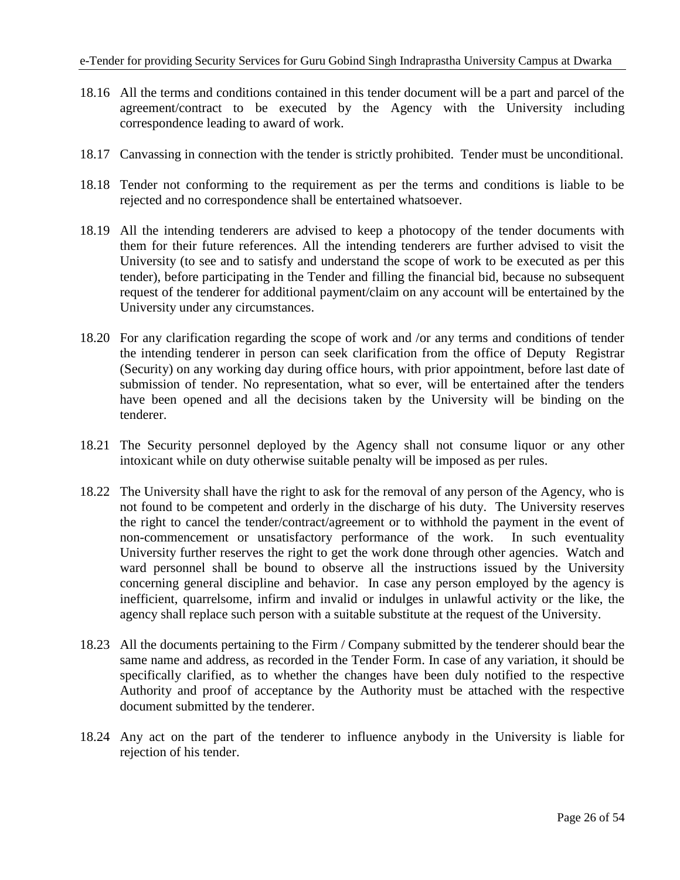- 18.16 All the terms and conditions contained in this tender document will be a part and parcel of the agreement/contract to be executed by the Agency with the University including correspondence leading to award of work.
- 18.17 Canvassing in connection with the tender is strictly prohibited. Tender must be unconditional.
- 18.18 Tender not conforming to the requirement as per the terms and conditions is liable to be rejected and no correspondence shall be entertained whatsoever.
- 18.19 All the intending tenderers are advised to keep a photocopy of the tender documents with them for their future references. All the intending tenderers are further advised to visit the University (to see and to satisfy and understand the scope of work to be executed as per this tender), before participating in the Tender and filling the financial bid, because no subsequent request of the tenderer for additional payment/claim on any account will be entertained by the University under any circumstances.
- 18.20 For any clarification regarding the scope of work and /or any terms and conditions of tender the intending tenderer in person can seek clarification from the office of Deputy Registrar (Security) on any working day during office hours, with prior appointment, before last date of submission of tender. No representation, what so ever, will be entertained after the tenders have been opened and all the decisions taken by the University will be binding on the tenderer.
- 18.21 The Security personnel deployed by the Agency shall not consume liquor or any other intoxicant while on duty otherwise suitable penalty will be imposed as per rules.
- 18.22 The University shall have the right to ask for the removal of any person of the Agency, who is not found to be competent and orderly in the discharge of his duty. The University reserves the right to cancel the tender/contract/agreement or to withhold the payment in the event of non-commencement or unsatisfactory performance of the work. In such eventuality University further reserves the right to get the work done through other agencies. Watch and ward personnel shall be bound to observe all the instructions issued by the University concerning general discipline and behavior. In case any person employed by the agency is inefficient, quarrelsome, infirm and invalid or indulges in unlawful activity or the like, the agency shall replace such person with a suitable substitute at the request of the University.
- 18.23 All the documents pertaining to the Firm / Company submitted by the tenderer should bear the same name and address, as recorded in the Tender Form. In case of any variation, it should be specifically clarified, as to whether the changes have been duly notified to the respective Authority and proof of acceptance by the Authority must be attached with the respective document submitted by the tenderer.
- 18.24 Any act on the part of the tenderer to influence anybody in the University is liable for rejection of his tender.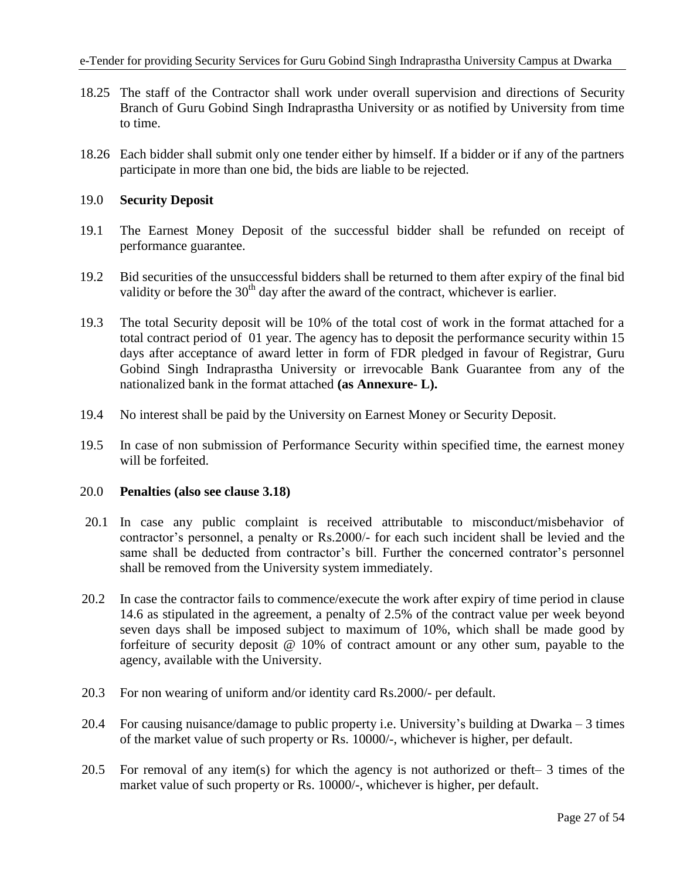- 18.25 The staff of the Contractor shall work under overall supervision and directions of Security Branch of Guru Gobind Singh Indraprastha University or as notified by University from time to time.
- 18.26 Each bidder shall submit only one tender either by himself. If a bidder or if any of the partners participate in more than one bid, the bids are liable to be rejected.

### 19.0 **Security Deposit**

- 19.1 The Earnest Money Deposit of the successful bidder shall be refunded on receipt of performance guarantee.
- 19.2 Bid securities of the unsuccessful bidders shall be returned to them after expiry of the final bid validity or before the  $30<sup>th</sup>$  day after the award of the contract, whichever is earlier.
- 19.3 The total Security deposit will be 10% of the total cost of work in the format attached for a total contract period of 01 year. The agency has to deposit the performance security within 15 days after acceptance of award letter in form of FDR pledged in favour of Registrar, Guru Gobind Singh Indraprastha University or irrevocable Bank Guarantee from any of the nationalized bank in the format attached **(as Annexure- L).**
- 19.4 No interest shall be paid by the University on Earnest Money or Security Deposit.
- 19.5 In case of non submission of Performance Security within specified time, the earnest money will be forfeited.

#### 20.0 **Penalties (also see clause 3.18)**

- 20.1 In case any public complaint is received attributable to misconduct/misbehavior of contractor's personnel, a penalty or Rs.2000/- for each such incident shall be levied and the same shall be deducted from contractor's bill. Further the concerned contrator's personnel shall be removed from the University system immediately.
- 20.2 In case the contractor fails to commence/execute the work after expiry of time period in clause 14.6 as stipulated in the agreement, a penalty of 2.5% of the contract value per week beyond seven days shall be imposed subject to maximum of 10%, which shall be made good by forfeiture of security deposit @ 10% of contract amount or any other sum, payable to the agency, available with the University.
- 20.3 For non wearing of uniform and/or identity card Rs.2000/- per default.
- 20.4 For causing nuisance/damage to public property i.e. University's building at Dwarka 3 times of the market value of such property or Rs. 10000/-, whichever is higher, per default.
- 20.5 For removal of any item(s) for which the agency is not authorized or theft– 3 times of the market value of such property or Rs. 10000/-, whichever is higher, per default.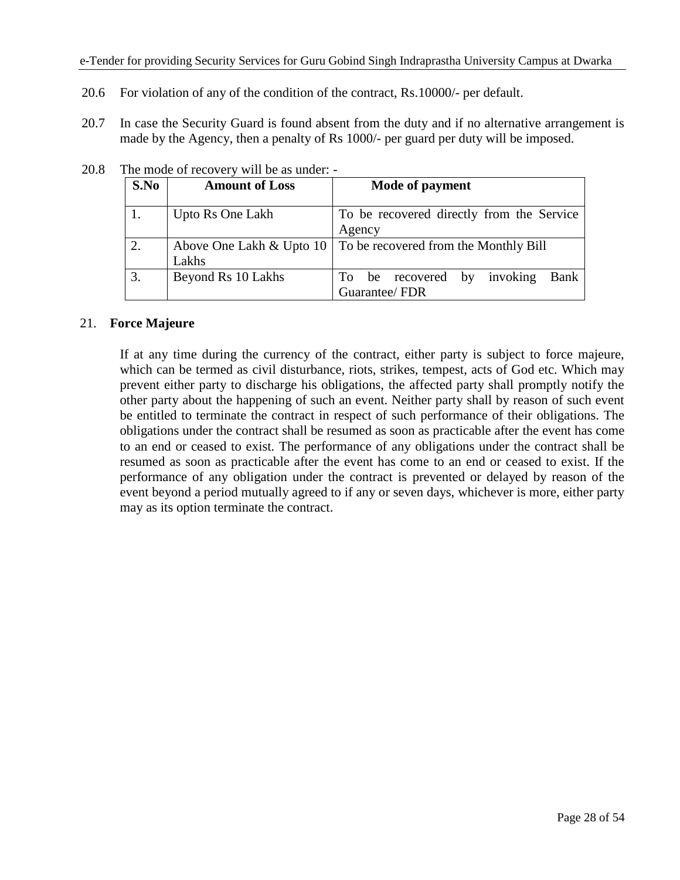- 20.6 For violation of any of the condition of the contract, Rs.10000/- per default.
- 20.7 In case the Security Guard is found absent from the duty and if no alternative arrangement is made by the Agency, then a penalty of Rs 1000/- per guard per duty will be imposed.

| S.No | <b>Amount of Loss</b> | Mode of payment                                                  |  |  |  |  |  |
|------|-----------------------|------------------------------------------------------------------|--|--|--|--|--|
| 1.   | Upto Rs One Lakh      | To be recovered directly from the Service<br>Agency              |  |  |  |  |  |
| 2.   | Lakhs                 | Above One Lakh & Upto 10   To be recovered from the Monthly Bill |  |  |  |  |  |
| 3.   | Beyond Rs 10 Lakhs    | invoking<br>Bank<br>To be recovered by<br>Guarantee/FDR          |  |  |  |  |  |

| 20.8 |  | The mode of recovery will be as under: - |  |  |
|------|--|------------------------------------------|--|--|
|------|--|------------------------------------------|--|--|

## 21. **Force Majeure**

If at any time during the currency of the contract, either party is subject to force majeure, which can be termed as civil disturbance, riots, strikes, tempest, acts of God etc. Which may prevent either party to discharge his obligations, the affected party shall promptly notify the other party about the happening of such an event. Neither party shall by reason of such event be entitled to terminate the contract in respect of such performance of their obligations. The obligations under the contract shall be resumed as soon as practicable after the event has come to an end or ceased to exist. The performance of any obligations under the contract shall be resumed as soon as practicable after the event has come to an end or ceased to exist. If the performance of any obligation under the contract is prevented or delayed by reason of the event beyond a period mutually agreed to if any or seven days, whichever is more, either party may as its option terminate the contract.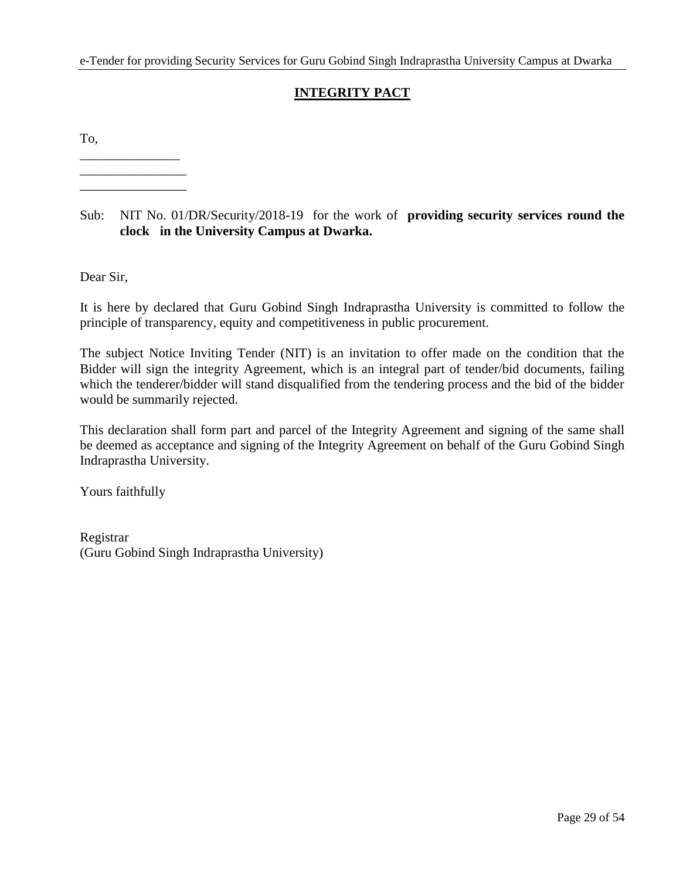## **INTEGRITY PACT**

To,

\_\_\_\_\_\_\_\_\_\_\_\_\_\_\_ \_\_\_\_\_\_\_\_\_\_\_\_\_\_\_\_

\_\_\_\_\_\_\_\_\_\_\_\_\_\_\_\_

## Sub: NIT No. 01/DR/Security/2018-19 for the work of **providing security services round the clock in the University Campus at Dwarka.**

Dear Sir,

It is here by declared that Guru Gobind Singh Indraprastha University is committed to follow the principle of transparency, equity and competitiveness in public procurement.

The subject Notice Inviting Tender (NIT) is an invitation to offer made on the condition that the Bidder will sign the integrity Agreement, which is an integral part of tender/bid documents, failing which the tenderer/bidder will stand disqualified from the tendering process and the bid of the bidder would be summarily rejected.

This declaration shall form part and parcel of the Integrity Agreement and signing of the same shall be deemed as acceptance and signing of the Integrity Agreement on behalf of the Guru Gobind Singh Indraprastha University.

Yours faithfully

Registrar (Guru Gobind Singh Indraprastha University)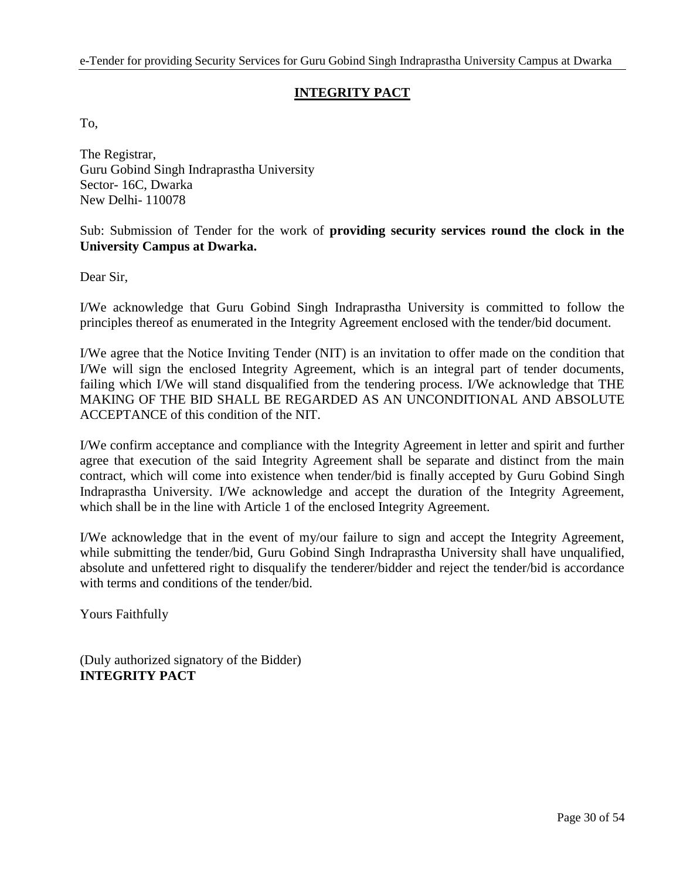## **INTEGRITY PACT**

To,

The Registrar, Guru Gobind Singh Indraprastha University Sector- 16C, Dwarka New Delhi- 110078

## Sub: Submission of Tender for the work of **providing security services round the clock in the University Campus at Dwarka.**

Dear Sir,

I/We acknowledge that Guru Gobind Singh Indraprastha University is committed to follow the principles thereof as enumerated in the Integrity Agreement enclosed with the tender/bid document.

I/We agree that the Notice Inviting Tender (NIT) is an invitation to offer made on the condition that I/We will sign the enclosed Integrity Agreement, which is an integral part of tender documents, failing which I/We will stand disqualified from the tendering process. I/We acknowledge that THE MAKING OF THE BID SHALL BE REGARDED AS AN UNCONDITIONAL AND ABSOLUTE ACCEPTANCE of this condition of the NIT.

I/We confirm acceptance and compliance with the Integrity Agreement in letter and spirit and further agree that execution of the said Integrity Agreement shall be separate and distinct from the main contract, which will come into existence when tender/bid is finally accepted by Guru Gobind Singh Indraprastha University. I/We acknowledge and accept the duration of the Integrity Agreement, which shall be in the line with Article 1 of the enclosed Integrity Agreement.

I/We acknowledge that in the event of my/our failure to sign and accept the Integrity Agreement, while submitting the tender/bid, Guru Gobind Singh Indraprastha University shall have unqualified, absolute and unfettered right to disqualify the tenderer/bidder and reject the tender/bid is accordance with terms and conditions of the tender/bid.

Yours Faithfully

(Duly authorized signatory of the Bidder) **INTEGRITY PACT**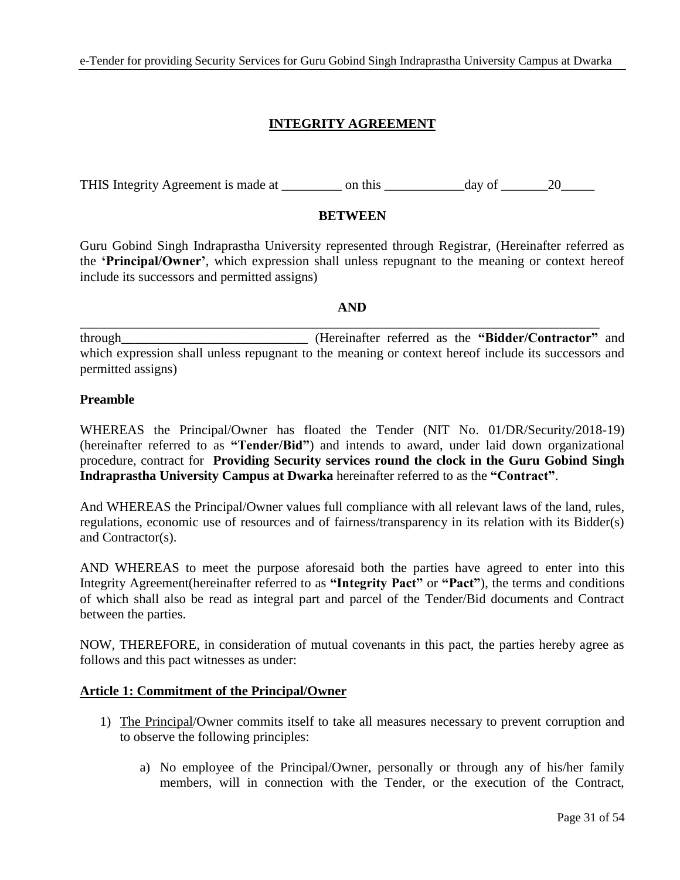## **INTEGRITY AGREEMENT**

THIS Integrity Agreement is made at  $\qquad \qquad$  on this  $\qquad \qquad$  day of  $\qquad \qquad$  20

### **BETWEEN**

Guru Gobind Singh Indraprastha University represented through Registrar, (Hereinafter referred as the **'Principal/Owner'**, which expression shall unless repugnant to the meaning or context hereof include its successors and permitted assigns)

#### **AND**

\_\_\_\_\_\_\_\_\_\_\_\_\_\_\_\_\_\_\_\_\_\_\_\_\_\_\_\_\_\_\_\_\_\_\_\_\_\_\_\_\_\_\_\_\_\_\_\_\_\_\_\_\_\_\_\_\_\_\_\_\_\_\_\_\_\_\_\_\_\_\_\_\_\_\_\_\_\_

through\_\_\_\_\_\_\_\_\_\_\_\_\_\_\_\_\_\_\_\_\_\_\_\_\_\_\_\_ (Hereinafter referred as the **"Bidder/Contractor"** and which expression shall unless repugnant to the meaning or context hereof include its successors and permitted assigns)

### **Preamble**

WHEREAS the Principal/Owner has floated the Tender (NIT No. 01/DR/Security/2018-19) (hereinafter referred to as **"Tender/Bid"**) and intends to award, under laid down organizational procedure, contract for **Providing Security services round the clock in the Guru Gobind Singh Indraprastha University Campus at Dwarka** hereinafter referred to as the **"Contract"**.

And WHEREAS the Principal/Owner values full compliance with all relevant laws of the land, rules, regulations, economic use of resources and of fairness/transparency in its relation with its Bidder(s) and Contractor(s).

AND WHEREAS to meet the purpose aforesaid both the parties have agreed to enter into this Integrity Agreement(hereinafter referred to as **"Integrity Pact"** or **"Pact"**), the terms and conditions of which shall also be read as integral part and parcel of the Tender/Bid documents and Contract between the parties.

NOW, THEREFORE, in consideration of mutual covenants in this pact, the parties hereby agree as follows and this pact witnesses as under:

#### **Article 1: Commitment of the Principal/Owner**

- 1) The Principal/Owner commits itself to take all measures necessary to prevent corruption and to observe the following principles:
	- a) No employee of the Principal/Owner, personally or through any of his/her family members, will in connection with the Tender, or the execution of the Contract,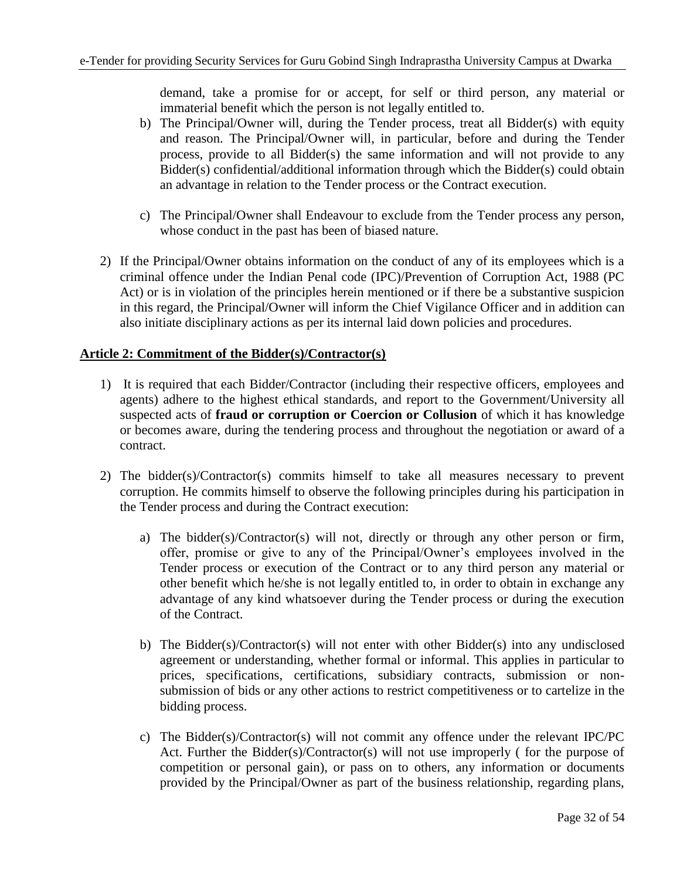demand, take a promise for or accept, for self or third person, any material or immaterial benefit which the person is not legally entitled to.

- b) The Principal/Owner will, during the Tender process, treat all Bidder(s) with equity and reason. The Principal/Owner will, in particular, before and during the Tender process, provide to all Bidder(s) the same information and will not provide to any Bidder(s) confidential/additional information through which the Bidder(s) could obtain an advantage in relation to the Tender process or the Contract execution.
- c) The Principal/Owner shall Endeavour to exclude from the Tender process any person, whose conduct in the past has been of biased nature.
- 2) If the Principal/Owner obtains information on the conduct of any of its employees which is a criminal offence under the Indian Penal code (IPC)/Prevention of Corruption Act, 1988 (PC Act) or is in violation of the principles herein mentioned or if there be a substantive suspicion in this regard, the Principal/Owner will inform the Chief Vigilance Officer and in addition can also initiate disciplinary actions as per its internal laid down policies and procedures.

## **Article 2: Commitment of the Bidder(s)/Contractor(s)**

- 1) It is required that each Bidder/Contractor (including their respective officers, employees and agents) adhere to the highest ethical standards, and report to the Government/University all suspected acts of **fraud or corruption or Coercion or Collusion** of which it has knowledge or becomes aware, during the tendering process and throughout the negotiation or award of a contract.
- 2) The bidder(s)/Contractor(s) commits himself to take all measures necessary to prevent corruption. He commits himself to observe the following principles during his participation in the Tender process and during the Contract execution:
	- a) The bidder(s)/Contractor(s) will not, directly or through any other person or firm, offer, promise or give to any of the Principal/Owner's employees involved in the Tender process or execution of the Contract or to any third person any material or other benefit which he/she is not legally entitled to, in order to obtain in exchange any advantage of any kind whatsoever during the Tender process or during the execution of the Contract.
	- b) The Bidder(s)/Contractor(s) will not enter with other Bidder(s) into any undisclosed agreement or understanding, whether formal or informal. This applies in particular to prices, specifications, certifications, subsidiary contracts, submission or nonsubmission of bids or any other actions to restrict competitiveness or to cartelize in the bidding process.
	- c) The Bidder(s)/Contractor(s) will not commit any offence under the relevant IPC/PC Act. Further the Bidder(s)/Contractor(s) will not use improperly ( for the purpose of competition or personal gain), or pass on to others, any information or documents provided by the Principal/Owner as part of the business relationship, regarding plans,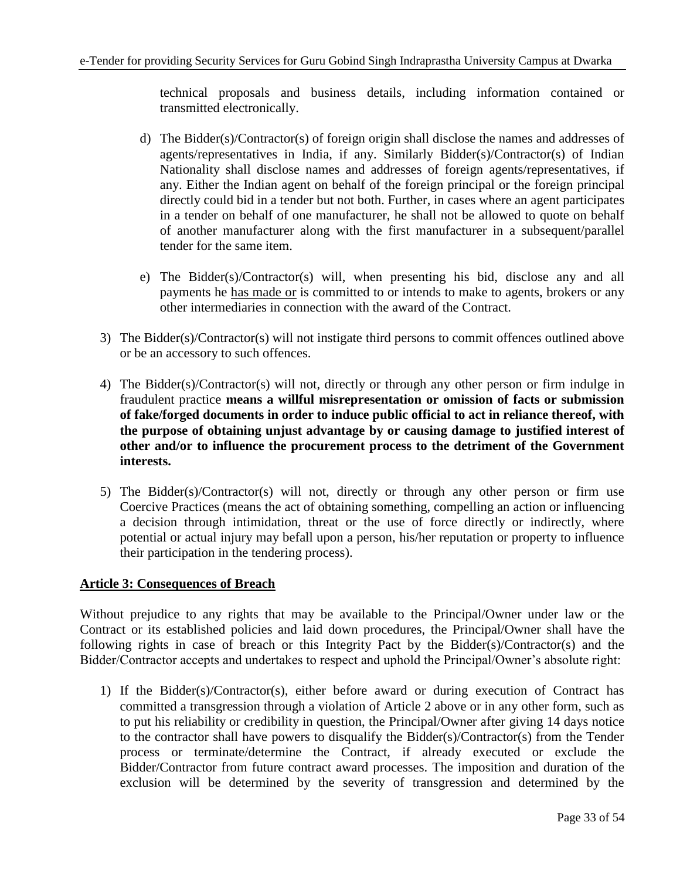technical proposals and business details, including information contained or transmitted electronically.

- d) The Bidder(s)/Contractor(s) of foreign origin shall disclose the names and addresses of agents/representatives in India, if any. Similarly Bidder(s)/Contractor(s) of Indian Nationality shall disclose names and addresses of foreign agents/representatives, if any. Either the Indian agent on behalf of the foreign principal or the foreign principal directly could bid in a tender but not both. Further, in cases where an agent participates in a tender on behalf of one manufacturer, he shall not be allowed to quote on behalf of another manufacturer along with the first manufacturer in a subsequent/parallel tender for the same item.
- e) The Bidder(s)/Contractor(s) will, when presenting his bid, disclose any and all payments he has made or is committed to or intends to make to agents, brokers or any other intermediaries in connection with the award of the Contract.
- 3) The Bidder(s)/Contractor(s) will not instigate third persons to commit offences outlined above or be an accessory to such offences.
- 4) The Bidder(s)/Contractor(s) will not, directly or through any other person or firm indulge in fraudulent practice **means a willful misrepresentation or omission of facts or submission of fake/forged documents in order to induce public official to act in reliance thereof, with the purpose of obtaining unjust advantage by or causing damage to justified interest of other and/or to influence the procurement process to the detriment of the Government interests.**
- 5) The Bidder(s)/Contractor(s) will not, directly or through any other person or firm use Coercive Practices (means the act of obtaining something, compelling an action or influencing a decision through intimidation, threat or the use of force directly or indirectly, where potential or actual injury may befall upon a person, his/her reputation or property to influence their participation in the tendering process).

## **Article 3: Consequences of Breach**

Without prejudice to any rights that may be available to the Principal/Owner under law or the Contract or its established policies and laid down procedures, the Principal/Owner shall have the following rights in case of breach or this Integrity Pact by the Bidder(s)/Contractor(s) and the Bidder/Contractor accepts and undertakes to respect and uphold the Principal/Owner's absolute right:

1) If the Bidder(s)/Contractor(s), either before award or during execution of Contract has committed a transgression through a violation of Article 2 above or in any other form, such as to put his reliability or credibility in question, the Principal/Owner after giving 14 days notice to the contractor shall have powers to disqualify the Bidder(s)/Contractor(s) from the Tender process or terminate/determine the Contract, if already executed or exclude the Bidder/Contractor from future contract award processes. The imposition and duration of the exclusion will be determined by the severity of transgression and determined by the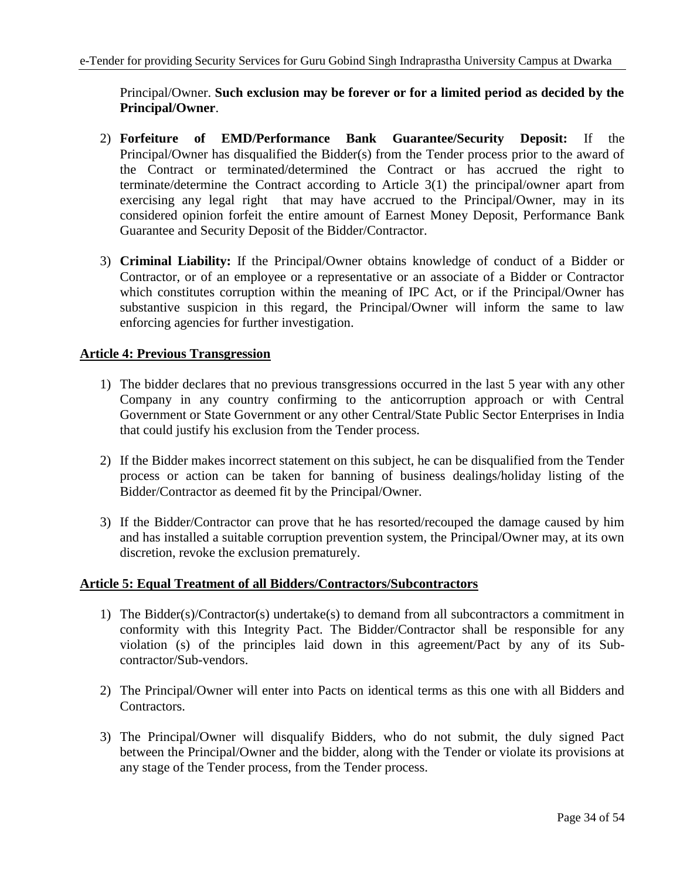Principal/Owner. **Such exclusion may be forever or for a limited period as decided by the Principal/Owner**.

- 2) **Forfeiture of EMD/Performance Bank Guarantee/Security Deposit:** If the Principal/Owner has disqualified the Bidder(s) from the Tender process prior to the award of the Contract or terminated/determined the Contract or has accrued the right to terminate/determine the Contract according to Article 3(1) the principal/owner apart from exercising any legal right that may have accrued to the Principal/Owner, may in its considered opinion forfeit the entire amount of Earnest Money Deposit, Performance Bank Guarantee and Security Deposit of the Bidder/Contractor.
- 3) **Criminal Liability:** If the Principal/Owner obtains knowledge of conduct of a Bidder or Contractor, or of an employee or a representative or an associate of a Bidder or Contractor which constitutes corruption within the meaning of IPC Act, or if the Principal/Owner has substantive suspicion in this regard, the Principal/Owner will inform the same to law enforcing agencies for further investigation.

## **Article 4: Previous Transgression**

- 1) The bidder declares that no previous transgressions occurred in the last 5 year with any other Company in any country confirming to the anticorruption approach or with Central Government or State Government or any other Central/State Public Sector Enterprises in India that could justify his exclusion from the Tender process.
- 2) If the Bidder makes incorrect statement on this subject, he can be disqualified from the Tender process or action can be taken for banning of business dealings/holiday listing of the Bidder/Contractor as deemed fit by the Principal/Owner.
- 3) If the Bidder/Contractor can prove that he has resorted/recouped the damage caused by him and has installed a suitable corruption prevention system, the Principal/Owner may, at its own discretion, revoke the exclusion prematurely.

## **Article 5: Equal Treatment of all Bidders/Contractors/Subcontractors**

- 1) The Bidder(s)/Contractor(s) undertake(s) to demand from all subcontractors a commitment in conformity with this Integrity Pact. The Bidder/Contractor shall be responsible for any violation (s) of the principles laid down in this agreement/Pact by any of its Subcontractor/Sub-vendors.
- 2) The Principal/Owner will enter into Pacts on identical terms as this one with all Bidders and Contractors.
- 3) The Principal/Owner will disqualify Bidders, who do not submit, the duly signed Pact between the Principal/Owner and the bidder, along with the Tender or violate its provisions at any stage of the Tender process, from the Tender process.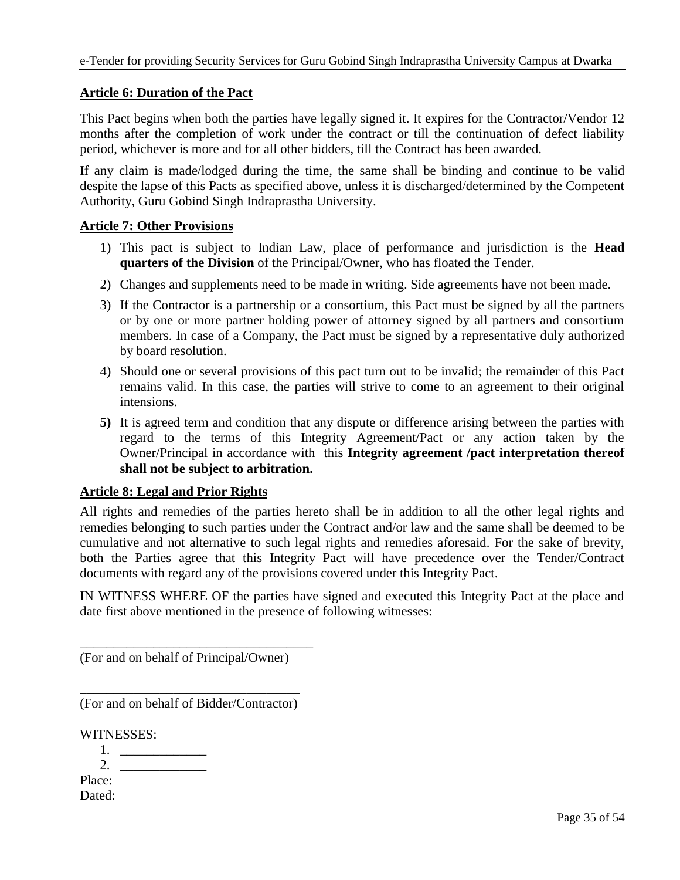### **Article 6: Duration of the Pact**

This Pact begins when both the parties have legally signed it. It expires for the Contractor/Vendor 12 months after the completion of work under the contract or till the continuation of defect liability period, whichever is more and for all other bidders, till the Contract has been awarded.

If any claim is made/lodged during the time, the same shall be binding and continue to be valid despite the lapse of this Pacts as specified above, unless it is discharged/determined by the Competent Authority, Guru Gobind Singh Indraprastha University.

### **Article 7: Other Provisions**

- 1) This pact is subject to Indian Law, place of performance and jurisdiction is the **Head quarters of the Division** of the Principal/Owner, who has floated the Tender.
- 2) Changes and supplements need to be made in writing. Side agreements have not been made.
- 3) If the Contractor is a partnership or a consortium, this Pact must be signed by all the partners or by one or more partner holding power of attorney signed by all partners and consortium members. In case of a Company, the Pact must be signed by a representative duly authorized by board resolution.
- 4) Should one or several provisions of this pact turn out to be invalid; the remainder of this Pact remains valid. In this case, the parties will strive to come to an agreement to their original intensions.
- **5)** It is agreed term and condition that any dispute or difference arising between the parties with regard to the terms of this Integrity Agreement/Pact or any action taken by the Owner/Principal in accordance with this **Integrity agreement /pact interpretation thereof shall not be subject to arbitration.**

#### **Article 8: Legal and Prior Rights**

All rights and remedies of the parties hereto shall be in addition to all the other legal rights and remedies belonging to such parties under the Contract and/or law and the same shall be deemed to be cumulative and not alternative to such legal rights and remedies aforesaid. For the sake of brevity, both the Parties agree that this Integrity Pact will have precedence over the Tender/Contract documents with regard any of the provisions covered under this Integrity Pact.

IN WITNESS WHERE OF the parties have signed and executed this Integrity Pact at the place and date first above mentioned in the presence of following witnesses:

(For and on behalf of Principal/Owner)

\_\_\_\_\_\_\_\_\_\_\_\_\_\_\_\_\_\_\_\_\_\_\_\_\_\_\_\_\_\_\_\_\_\_\_

\_\_\_\_\_\_\_\_\_\_\_\_\_\_\_\_\_\_\_\_\_\_\_\_\_\_\_\_\_\_\_\_\_ (For and on behalf of Bidder/Contractor)

WITNESSES:

1. 2. Place: Dated: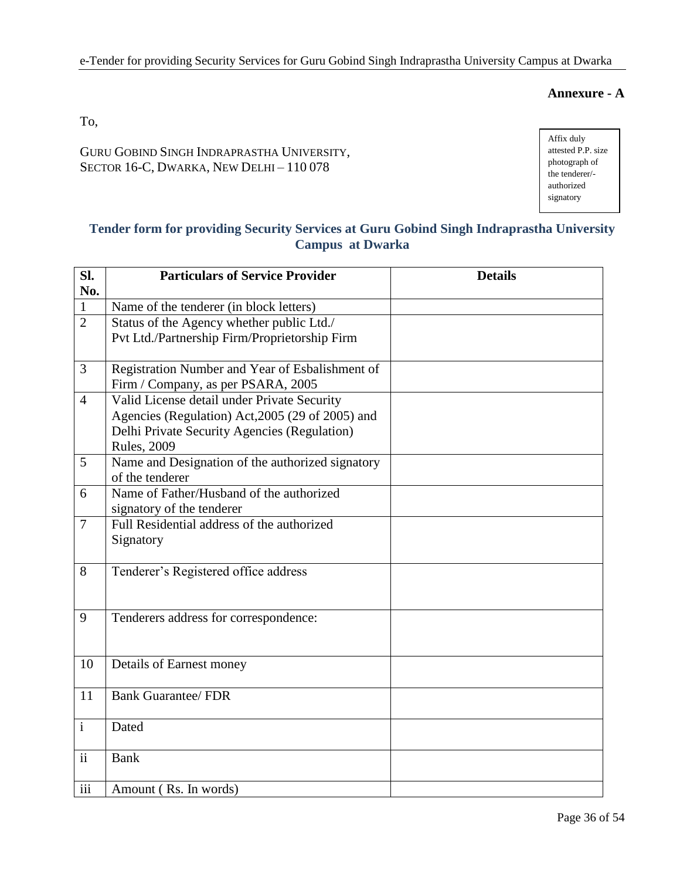## **Annexure - A**

To,

GURU GOBIND SINGH INDRAPRASTHA UNIVERSITY, SECTOR 16-C, DWARKA, NEW DELHI – 110 078

Affix duly attested P.P. size photograph of the tenderer/ authorized signatory

## **Tender form for providing Security Services at Guru Gobind Singh Indraprastha University Campus at Dwarka**

| SI.                      | <b>Particulars of Service Provider</b><br><b>Details</b>            |  |  |  |  |  |  |  |  |
|--------------------------|---------------------------------------------------------------------|--|--|--|--|--|--|--|--|
| No.                      |                                                                     |  |  |  |  |  |  |  |  |
| $\mathbf{1}$             | Name of the tenderer (in block letters)                             |  |  |  |  |  |  |  |  |
| $\overline{2}$           | Status of the Agency whether public Ltd./                           |  |  |  |  |  |  |  |  |
|                          | Pvt Ltd./Partnership Firm/Proprietorship Firm                       |  |  |  |  |  |  |  |  |
|                          |                                                                     |  |  |  |  |  |  |  |  |
| $\overline{3}$           | Registration Number and Year of Esbalishment of                     |  |  |  |  |  |  |  |  |
|                          | Firm / Company, as per PSARA, 2005                                  |  |  |  |  |  |  |  |  |
| $\overline{4}$           | Valid License detail under Private Security                         |  |  |  |  |  |  |  |  |
|                          | Agencies (Regulation) Act, 2005 (29 of 2005) and                    |  |  |  |  |  |  |  |  |
|                          | Delhi Private Security Agencies (Regulation)                        |  |  |  |  |  |  |  |  |
|                          | <b>Rules</b> , 2009                                                 |  |  |  |  |  |  |  |  |
| 5                        | Name and Designation of the authorized signatory<br>of the tenderer |  |  |  |  |  |  |  |  |
| 6                        | Name of Father/Husband of the authorized                            |  |  |  |  |  |  |  |  |
|                          | signatory of the tenderer                                           |  |  |  |  |  |  |  |  |
| $\overline{7}$           | Full Residential address of the authorized                          |  |  |  |  |  |  |  |  |
|                          | Signatory                                                           |  |  |  |  |  |  |  |  |
|                          |                                                                     |  |  |  |  |  |  |  |  |
| 8                        | Tenderer's Registered office address                                |  |  |  |  |  |  |  |  |
|                          |                                                                     |  |  |  |  |  |  |  |  |
|                          |                                                                     |  |  |  |  |  |  |  |  |
| 9                        | Tenderers address for correspondence:                               |  |  |  |  |  |  |  |  |
|                          |                                                                     |  |  |  |  |  |  |  |  |
|                          |                                                                     |  |  |  |  |  |  |  |  |
| 10                       | Details of Earnest money                                            |  |  |  |  |  |  |  |  |
|                          |                                                                     |  |  |  |  |  |  |  |  |
| 11                       | <b>Bank Guarantee/ FDR</b>                                          |  |  |  |  |  |  |  |  |
|                          |                                                                     |  |  |  |  |  |  |  |  |
| $\mathbf{i}$             | Dated                                                               |  |  |  |  |  |  |  |  |
|                          |                                                                     |  |  |  |  |  |  |  |  |
| $\overline{\textbf{ii}}$ | <b>Bank</b>                                                         |  |  |  |  |  |  |  |  |
|                          |                                                                     |  |  |  |  |  |  |  |  |
| iii                      | Amount (Rs. In words)                                               |  |  |  |  |  |  |  |  |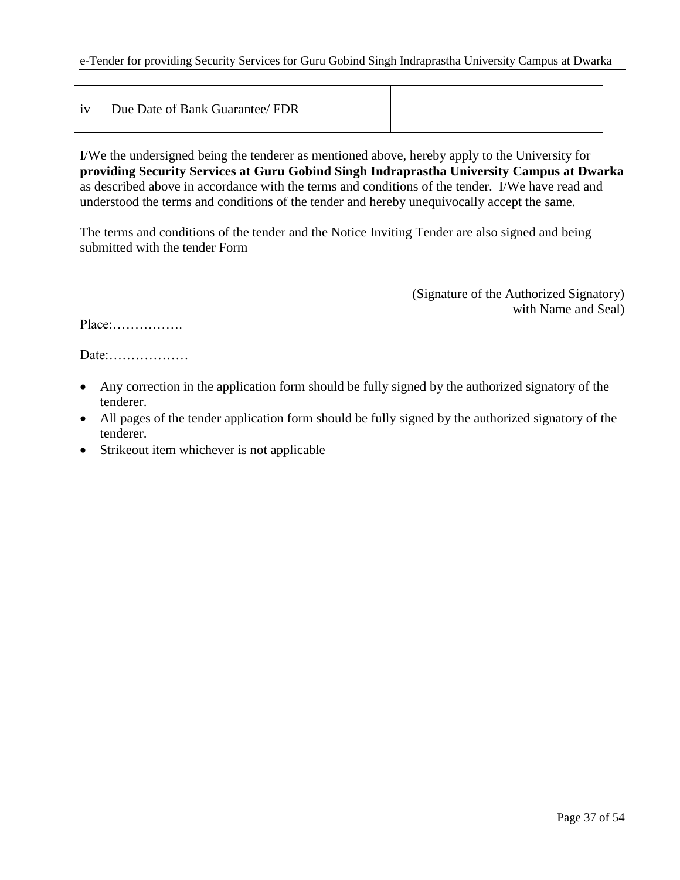| iv | Due Date of Bank Guarantee/ FDR |  |
|----|---------------------------------|--|
|    |                                 |  |

I/We the undersigned being the tenderer as mentioned above, hereby apply to the University for **providing Security Services at Guru Gobind Singh Indraprastha University Campus at Dwarka**  as described above in accordance with the terms and conditions of the tender. I/We have read and understood the terms and conditions of the tender and hereby unequivocally accept the same.

The terms and conditions of the tender and the Notice Inviting Tender are also signed and being submitted with the tender Form

> (Signature of the Authorized Signatory) with Name and Seal)

Place:…………….

Date:………………

- Any correction in the application form should be fully signed by the authorized signatory of the tenderer.
- All pages of the tender application form should be fully signed by the authorized signatory of the tenderer.
- Strikeout item whichever is not applicable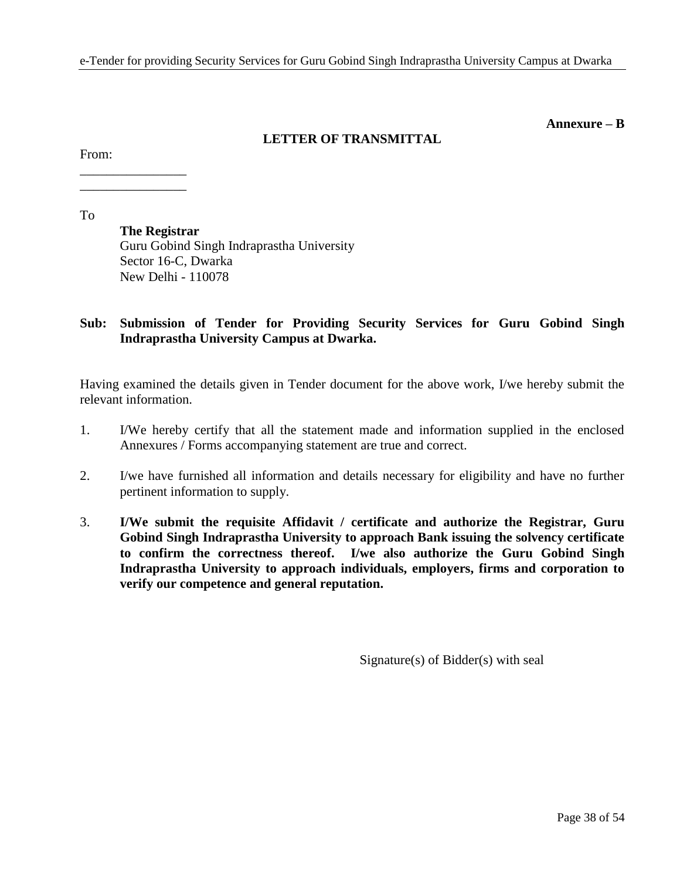#### **Annexure – B**

## **LETTER OF TRANSMITTAL**

From:

\_\_\_\_\_\_\_\_\_\_\_\_\_\_\_\_ \_\_\_\_\_\_\_\_\_\_\_\_\_\_\_\_

To

**The Registrar** Guru Gobind Singh Indraprastha University Sector 16-C, Dwarka New Delhi - 110078

## **Sub: Submission of Tender for Providing Security Services for Guru Gobind Singh Indraprastha University Campus at Dwarka.**

Having examined the details given in Tender document for the above work, I/we hereby submit the relevant information.

- 1. I/We hereby certify that all the statement made and information supplied in the enclosed Annexures / Forms accompanying statement are true and correct.
- 2. I/we have furnished all information and details necessary for eligibility and have no further pertinent information to supply.
- 3. **I/We submit the requisite Affidavit / certificate and authorize the Registrar, Guru Gobind Singh Indraprastha University to approach Bank issuing the solvency certificate to confirm the correctness thereof. I/we also authorize the Guru Gobind Singh Indraprastha University to approach individuals, employers, firms and corporation to verify our competence and general reputation.**

Signature(s) of Bidder(s) with seal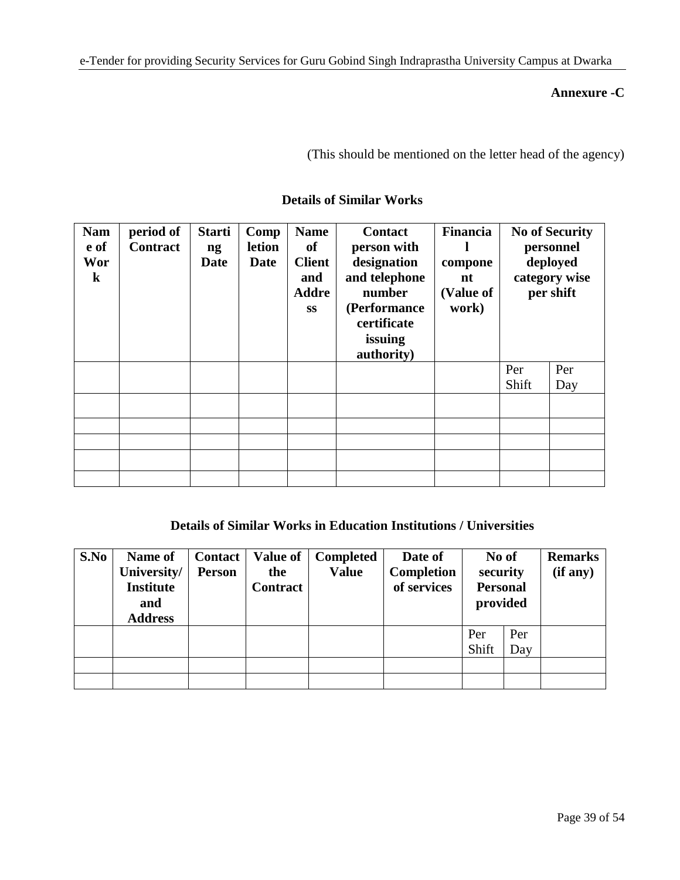## **Annexure -C**

(This should be mentioned on the letter head of the agency)

| <b>Nam</b><br>e of<br>Wor<br>$\bf k$ | period of<br><b>Contract</b> | <b>Starti</b><br>ng<br><b>Date</b> | Comp<br><b>letion</b><br><b>Date</b> | <b>Name</b><br>of<br><b>Client</b><br>and<br><b>Addre</b><br><b>SS</b> | <b>Contact</b><br>person with<br>designation<br>and telephone<br>number<br>(Performance<br>certificate<br>issuing<br>authority) | Financia<br>compone<br>nt<br>(Value of<br>work) | <b>No of Security</b><br>personnel<br>deployed<br>category wise<br>per shift |     |
|--------------------------------------|------------------------------|------------------------------------|--------------------------------------|------------------------------------------------------------------------|---------------------------------------------------------------------------------------------------------------------------------|-------------------------------------------------|------------------------------------------------------------------------------|-----|
|                                      |                              |                                    |                                      |                                                                        |                                                                                                                                 |                                                 | Per<br>Shift                                                                 | Per |
|                                      |                              |                                    |                                      |                                                                        |                                                                                                                                 |                                                 |                                                                              | Day |
|                                      |                              |                                    |                                      |                                                                        |                                                                                                                                 |                                                 |                                                                              |     |
|                                      |                              |                                    |                                      |                                                                        |                                                                                                                                 |                                                 |                                                                              |     |
|                                      |                              |                                    |                                      |                                                                        |                                                                                                                                 |                                                 |                                                                              |     |
|                                      |                              |                                    |                                      |                                                                        |                                                                                                                                 |                                                 |                                                                              |     |
|                                      |                              |                                    |                                      |                                                                        |                                                                                                                                 |                                                 |                                                                              |     |

## **Details of Similar Works**

## **Details of Similar Works in Education Institutions / Universities**

| S.No | Name of<br>University/  | <b>Contact</b><br><b>Person</b> | <b>Value of</b><br>the | <b>Completed</b><br><b>Value</b> | Date of<br>Completion | No of<br>security           |     | <b>Remarks</b><br>(if any) |
|------|-------------------------|---------------------------------|------------------------|----------------------------------|-----------------------|-----------------------------|-----|----------------------------|
|      | <b>Institute</b><br>and |                                 | <b>Contract</b>        |                                  | of services           | <b>Personal</b><br>provided |     |                            |
|      | <b>Address</b>          |                                 |                        |                                  |                       |                             |     |                            |
|      |                         |                                 |                        |                                  |                       | Per                         | Per |                            |
|      |                         |                                 |                        |                                  |                       | Shift                       | Day |                            |
|      |                         |                                 |                        |                                  |                       |                             |     |                            |
|      |                         |                                 |                        |                                  |                       |                             |     |                            |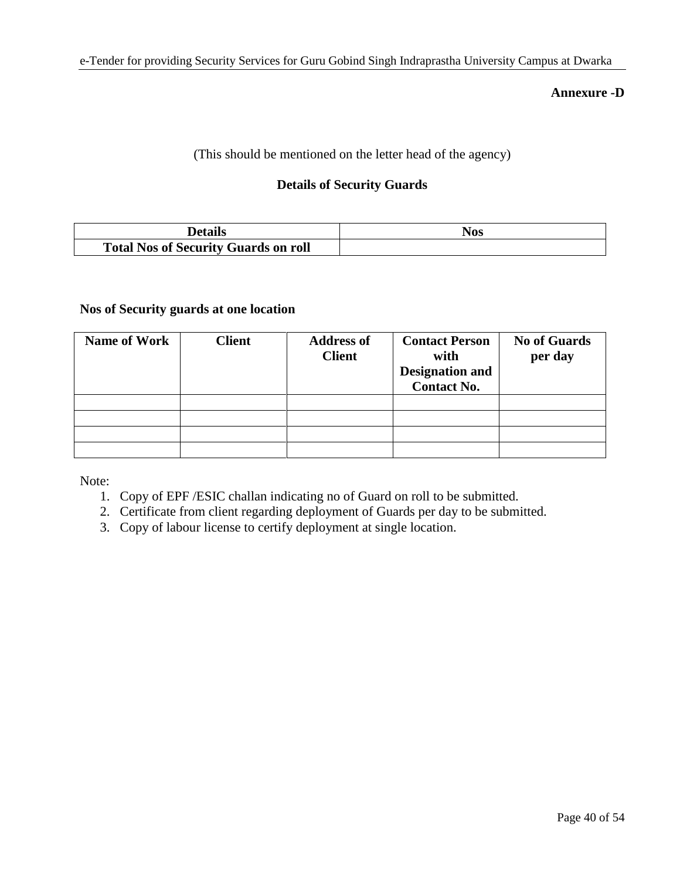### **Annexure -D**

(This should be mentioned on the letter head of the agency)

## **Details of Security Guards**

| Details                                     | NOS |
|---------------------------------------------|-----|
| <b>Total Nos of Security Guards on roll</b> |     |

## **Nos of Security guards at one location**

| <b>Name of Work</b> | <b>Client</b> | <b>Address of</b><br><b>Client</b> | <b>Contact Person</b><br>with<br><b>Designation and</b><br><b>Contact No.</b> | <b>No of Guards</b><br>per day |
|---------------------|---------------|------------------------------------|-------------------------------------------------------------------------------|--------------------------------|
|                     |               |                                    |                                                                               |                                |
|                     |               |                                    |                                                                               |                                |
|                     |               |                                    |                                                                               |                                |
|                     |               |                                    |                                                                               |                                |

Note:

- 1. Copy of EPF /ESIC challan indicating no of Guard on roll to be submitted.
- 2. Certificate from client regarding deployment of Guards per day to be submitted.
- 3. Copy of labour license to certify deployment at single location.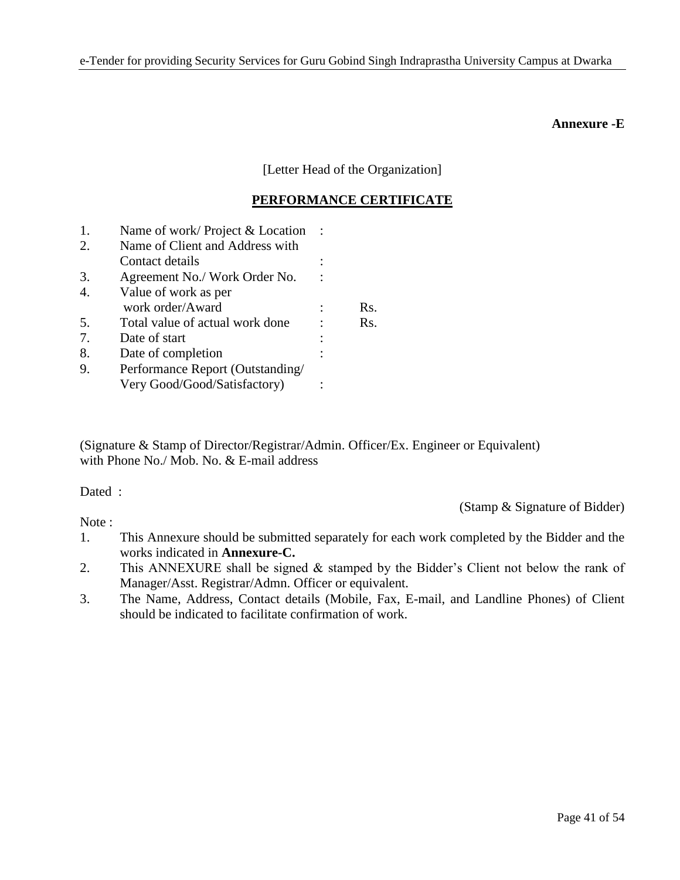### **Annexure -E**

[Letter Head of the Organization]

## **PERFORMANCE CERTIFICATE**

| 1. | Name of work/Project & Location  |     |
|----|----------------------------------|-----|
| 2. | Name of Client and Address with  |     |
|    | Contact details                  |     |
| 3. | Agreement No./ Work Order No.    |     |
| 4. | Value of work as per             |     |
|    | work order/Award                 | Rs. |
| 5. | Total value of actual work done  | Rs. |
| 7. | Date of start                    |     |
| 8. | Date of completion               |     |
| 9. | Performance Report (Outstanding/ |     |
|    | Very Good/Good/Satisfactory)     |     |

(Signature & Stamp of Director/Registrar/Admin. Officer/Ex. Engineer or Equivalent) with Phone No./ Mob. No. & E-mail address

Dated :

Note:

(Stamp & Signature of Bidder)

- 1. This Annexure should be submitted separately for each work completed by the Bidder and the works indicated in **Annexure-C.**
- 2. This ANNEXURE shall be signed & stamped by the Bidder's Client not below the rank of Manager/Asst. Registrar/Admn. Officer or equivalent.
- 3. The Name, Address, Contact details (Mobile, Fax, E-mail, and Landline Phones) of Client should be indicated to facilitate confirmation of work.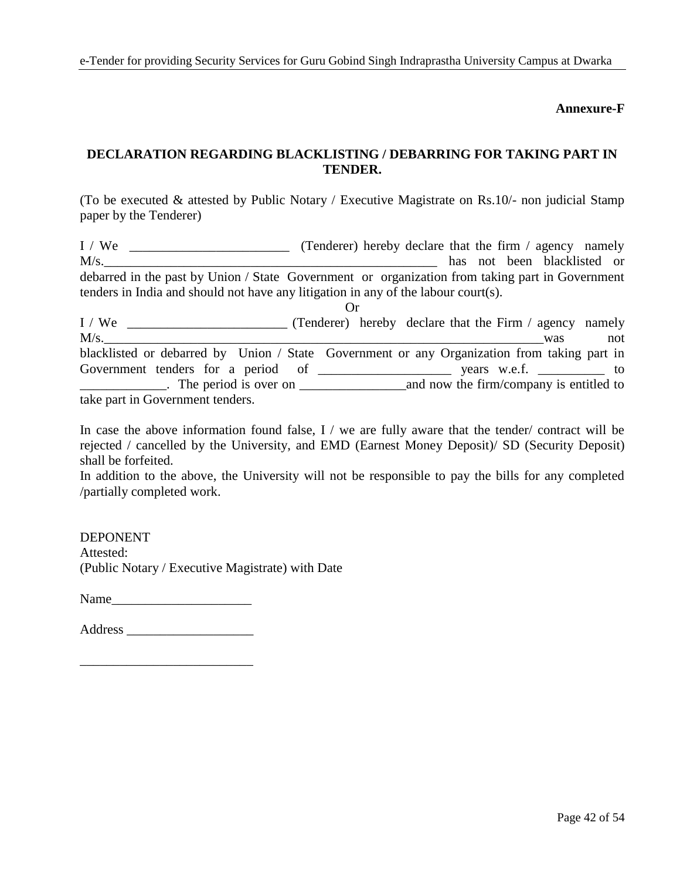### **Annexure-F**

## **DECLARATION REGARDING BLACKLISTING / DEBARRING FOR TAKING PART IN TENDER.**

(To be executed & attested by Public Notary / Executive Magistrate on Rs.10/- non judicial Stamp paper by the Tenderer)

I / We \_\_\_\_\_\_\_\_\_\_\_\_\_\_\_\_\_\_\_\_\_\_\_\_ (Tenderer) hereby declare that the firm / agency namely M/s. debarred in the past by Union / State Government or organization from taking part in Government tenders in India and should not have any litigation in any of the labour court(s). Or

I / We \_\_\_\_\_\_\_\_\_\_\_\_\_\_\_\_\_\_\_\_\_\_\_\_ (Tenderer) hereby declare that the Firm / agency namely  $M/s$ . was not blacklisted or debarred by Union / State Government or any Organization from taking part in Government tenders for a period of \_\_\_\_\_\_\_\_\_\_\_\_\_\_\_\_\_\_\_\_ years w.e.f. \_\_\_\_\_\_\_\_\_\_ to \_\_\_\_\_\_\_\_\_\_\_\_\_. The period is over on \_\_\_\_\_\_\_\_\_\_\_\_\_\_\_\_and now the firm/company is entitled to take part in Government tenders.

In case the above information found false, I / we are fully aware that the tender/ contract will be rejected / cancelled by the University, and EMD (Earnest Money Deposit)/ SD (Security Deposit) shall be forfeited.

In addition to the above, the University will not be responsible to pay the bills for any completed /partially completed work.

DEPONENT Attested: (Public Notary / Executive Magistrate) with Date

Name

Address \_\_\_\_\_\_\_\_\_\_\_\_\_\_\_\_\_\_\_

\_\_\_\_\_\_\_\_\_\_\_\_\_\_\_\_\_\_\_\_\_\_\_\_\_\_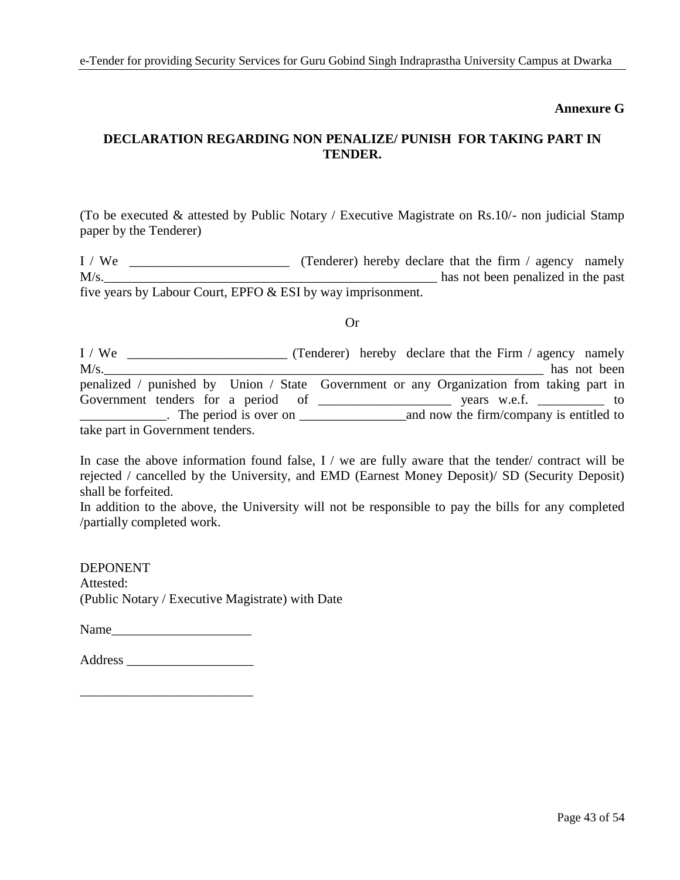### **Annexure G**

## **DECLARATION REGARDING NON PENALIZE/ PUNISH FOR TAKING PART IN TENDER.**

(To be executed & attested by Public Notary / Executive Magistrate on Rs.10/- non judicial Stamp paper by the Tenderer)

I / We \_\_\_\_\_\_\_\_\_\_\_\_\_\_\_\_\_\_\_\_\_\_\_\_ (Tenderer) hereby declare that the firm / agency namely M/s. five years by Labour Court, EPFO & ESI by way imprisonment.

Or

I / We **\_\_\_\_\_\_\_\_\_\_\_\_\_\_\_\_\_** (Tenderer) hereby declare that the Firm / agency namely M/s.\_\_\_\_\_\_\_\_\_\_\_\_\_\_\_\_\_\_\_\_\_\_\_\_\_\_\_\_\_\_\_\_\_\_\_\_\_\_\_\_\_\_\_\_\_\_\_\_\_\_\_\_\_\_\_\_\_\_\_\_\_\_\_\_\_\_ has not been penalized / punished by Union / State Government or any Organization from taking part in Government tenders for a period of \_\_\_\_\_\_\_\_\_\_\_\_\_\_\_\_\_\_\_\_ years w.e.f. \_\_\_\_\_\_\_\_\_\_ to \_\_\_\_\_\_\_\_\_\_\_\_\_. The period is over on \_\_\_\_\_\_\_\_\_\_\_\_\_\_\_\_and now the firm/company is entitled to take part in Government tenders.

In case the above information found false, I / we are fully aware that the tender/ contract will be rejected / cancelled by the University, and EMD (Earnest Money Deposit)/ SD (Security Deposit) shall be forfeited.

In addition to the above, the University will not be responsible to pay the bills for any completed /partially completed work.

DEPONENT Attested: (Public Notary / Executive Magistrate) with Date

Name\_\_\_\_\_\_\_\_\_\_\_\_\_\_\_\_\_\_\_\_\_

\_\_\_\_\_\_\_\_\_\_\_\_\_\_\_\_\_\_\_\_\_\_\_\_\_\_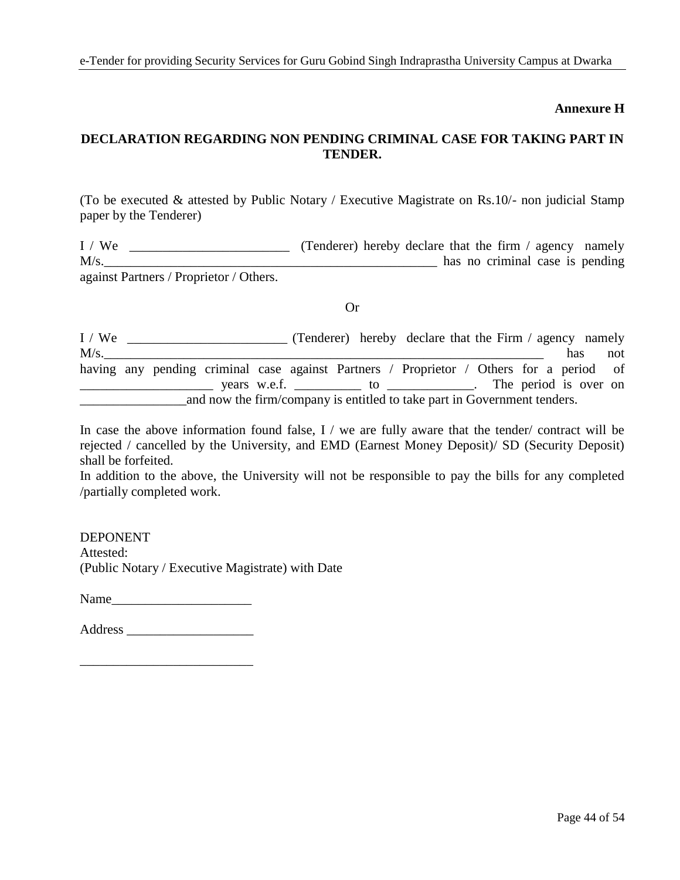### **Annexure H**

## **DECLARATION REGARDING NON PENDING CRIMINAL CASE FOR TAKING PART IN TENDER.**

(To be executed & attested by Public Notary / Executive Magistrate on Rs.10/- non judicial Stamp paper by the Tenderer)

I / We \_\_\_\_\_\_\_\_\_\_\_\_\_\_\_\_\_\_\_\_\_\_\_\_ (Tenderer) hereby declare that the firm / agency namely M/s. against Partners / Proprietor / Others.

#### Or

I / We \_\_\_\_\_\_\_\_\_\_\_\_\_\_\_\_\_\_\_\_\_\_\_\_\_\_\_ (Tenderer) hereby declare that the Firm / agency namely M/s.\_\_\_\_\_\_\_\_\_\_\_\_\_\_\_\_\_\_\_\_\_\_\_\_\_\_\_\_\_\_\_\_\_\_\_\_\_\_\_\_\_\_\_\_\_\_\_\_\_\_\_\_\_\_\_\_\_\_\_\_\_\_\_\_\_\_ has not having any pending criminal case against Partners / Proprietor / Others for a period of \_\_\_\_\_\_\_\_\_\_\_\_\_\_\_\_\_\_\_\_ years w.e.f. \_\_\_\_\_\_\_\_\_\_ to \_\_\_\_\_\_\_\_\_\_\_\_\_. The period is over on \_\_\_\_\_\_\_\_\_\_\_\_\_\_\_\_and now the firm/company is entitled to take part in Government tenders.

In case the above information found false, I / we are fully aware that the tender/ contract will be rejected / cancelled by the University, and EMD (Earnest Money Deposit)/ SD (Security Deposit) shall be forfeited.

In addition to the above, the University will not be responsible to pay the bills for any completed /partially completed work.

DEPONENT Attested: (Public Notary / Executive Magistrate) with Date

Name

Address \_\_\_\_\_\_\_\_\_\_\_\_\_\_\_\_\_\_\_

\_\_\_\_\_\_\_\_\_\_\_\_\_\_\_\_\_\_\_\_\_\_\_\_\_\_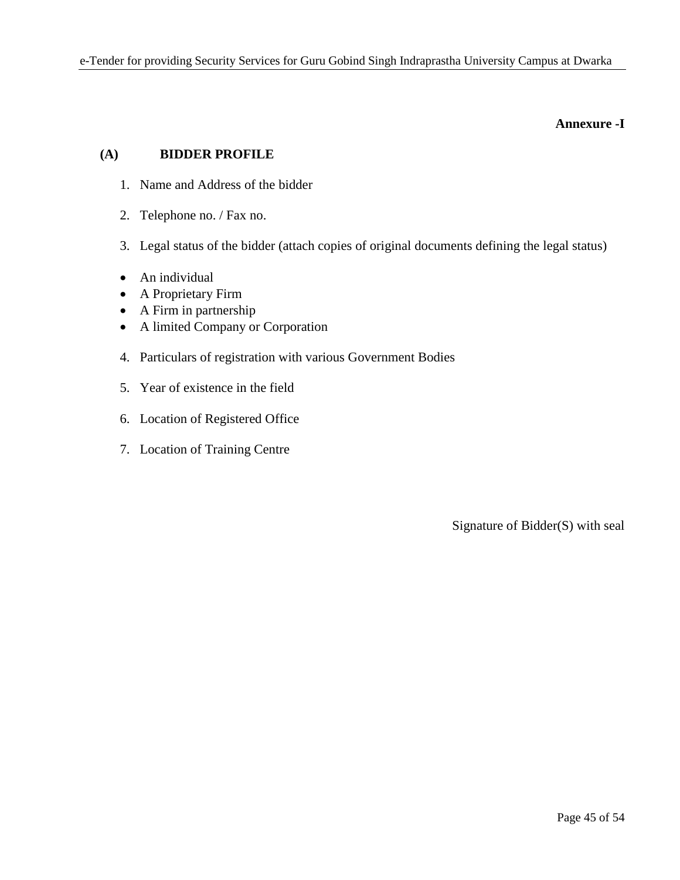### **Annexure -I**

## **(A) BIDDER PROFILE**

- 1. Name and Address of the bidder
- 2. Telephone no. / Fax no.
- 3. Legal status of the bidder (attach copies of original documents defining the legal status)
- An individual
- A Proprietary Firm
- A Firm in partnership
- A limited Company or Corporation
- 4. Particulars of registration with various Government Bodies
- 5. Year of existence in the field
- 6. Location of Registered Office
- 7. Location of Training Centre

Signature of Bidder(S) with seal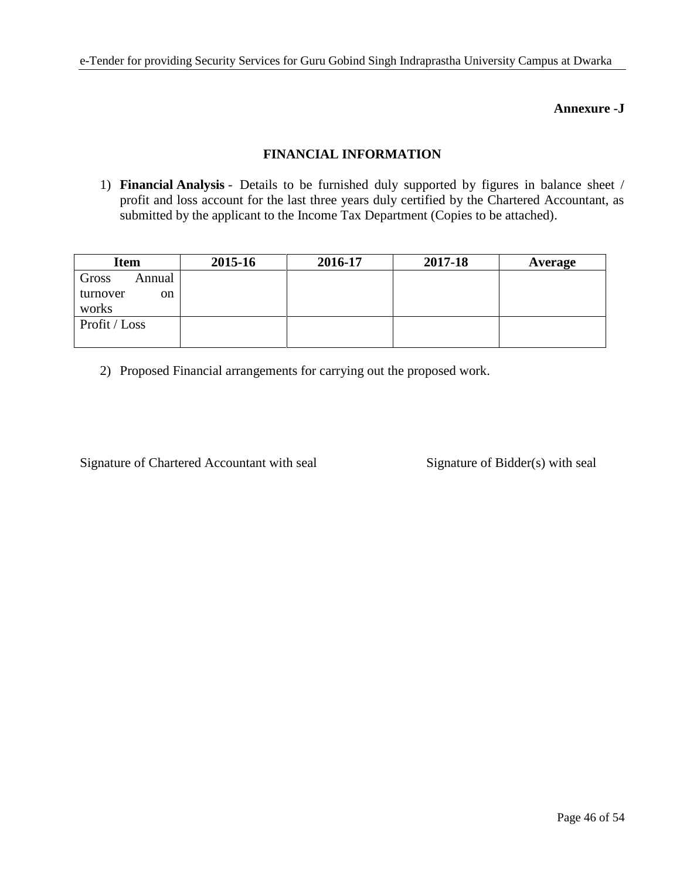## **Annexure -J**

## **FINANCIAL INFORMATION**

1) **Financial Analysis** - Details to be furnished duly supported by figures in balance sheet / profit and loss account for the last three years duly certified by the Chartered Accountant, as submitted by the applicant to the Income Tax Department (Copies to be attached).

| <b>Item</b>     | 2015-16 | 2016-17 | 2017-18 | Average |
|-----------------|---------|---------|---------|---------|
| Gross<br>Annual |         |         |         |         |
| turnover<br>on  |         |         |         |         |
| works           |         |         |         |         |
| Profit / Loss   |         |         |         |         |
|                 |         |         |         |         |

2) Proposed Financial arrangements for carrying out the proposed work.

Signature of Chartered Accountant with seal Signature of Bidder(s) with seal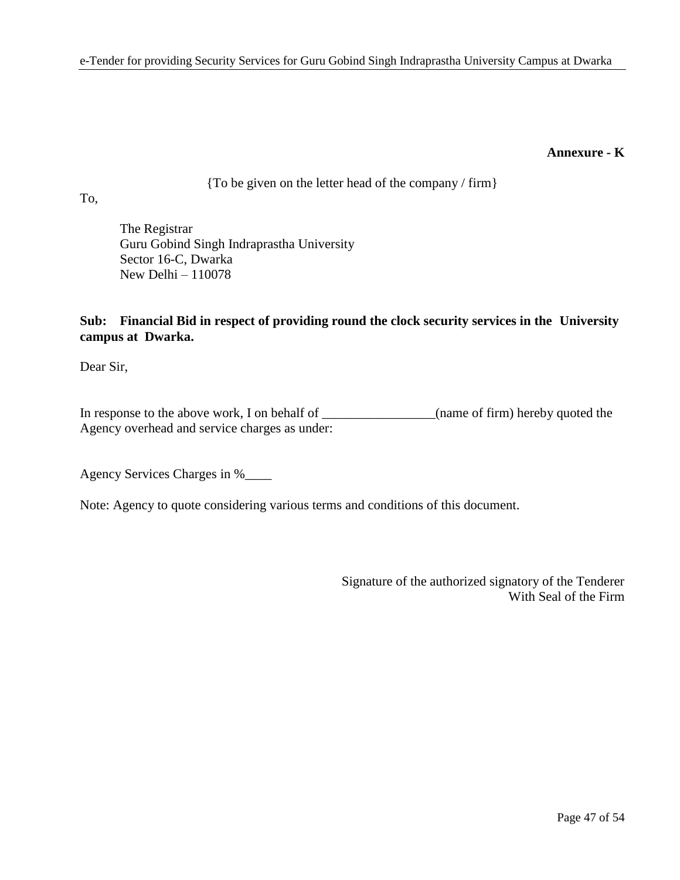### **Annexure - K**

{To be given on the letter head of the company / firm}

To,

The Registrar Guru Gobind Singh Indraprastha University Sector 16-C, Dwarka New Delhi – 110078

## **Sub: Financial Bid in respect of providing round the clock security services in the University campus at Dwarka.**

Dear Sir,

In response to the above work, I on behalf of \_\_\_\_\_\_\_\_\_\_\_\_\_\_(name of firm) hereby quoted the Agency overhead and service charges as under:

Agency Services Charges in %\_\_\_\_

Note: Agency to quote considering various terms and conditions of this document.

Signature of the authorized signatory of the Tenderer With Seal of the Firm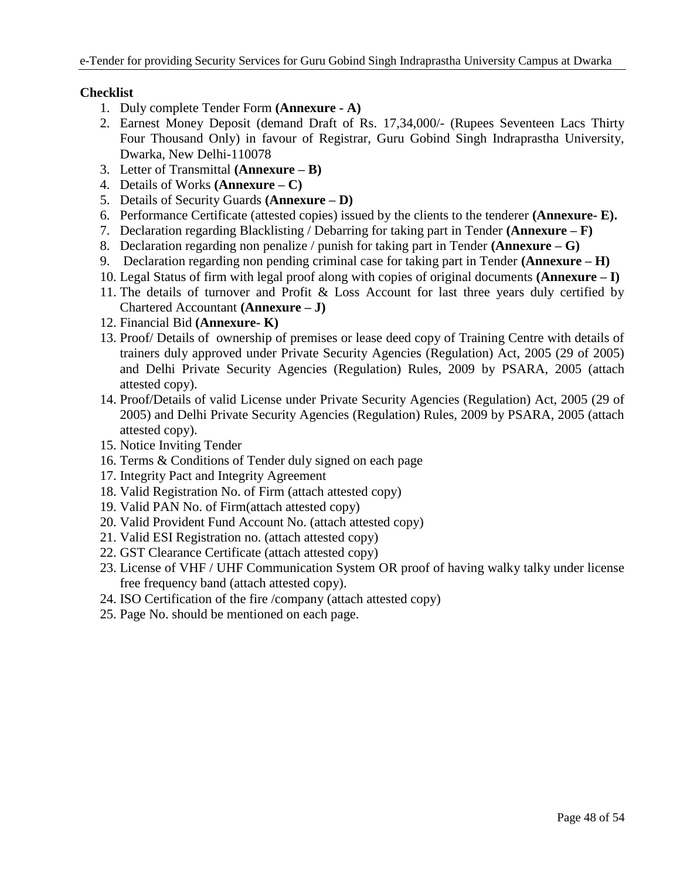## **Checklist**

- 1. Duly complete Tender Form **(Annexure - A)**
- 2. Earnest Money Deposit (demand Draft of Rs. 17,34,000/- (Rupees Seventeen Lacs Thirty Four Thousand Only) in favour of Registrar, Guru Gobind Singh Indraprastha University, Dwarka, New Delhi-110078
- 3. Letter of Transmittal **(Annexure – B)**
- 4. Details of Works **(Annexure – C)**
- 5. Details of Security Guards **(Annexure – D)**
- 6. Performance Certificate (attested copies) issued by the clients to the tenderer **(Annexure- E).**
- 7. Declaration regarding Blacklisting / Debarring for taking part in Tender **(Annexure – F)**
- 8. Declaration regarding non penalize / punish for taking part in Tender **(Annexure – G)**
- 9. Declaration regarding non pending criminal case for taking part in Tender **(Annexure – H)**
- 10. Legal Status of firm with legal proof along with copies of original documents **(Annexure – I)**
- 11. The details of turnover and Profit & Loss Account for last three years duly certified by Chartered Accountant **(Annexure – J)**
- 12. Financial Bid **(Annexure- K)**
- 13. Proof/ Details of ownership of premises or lease deed copy of Training Centre with details of trainers duly approved under Private Security Agencies (Regulation) Act, 2005 (29 of 2005) and Delhi Private Security Agencies (Regulation) Rules, 2009 by PSARA, 2005 (attach attested copy).
- 14. Proof/Details of valid License under Private Security Agencies (Regulation) Act, 2005 (29 of 2005) and Delhi Private Security Agencies (Regulation) Rules, 2009 by PSARA, 2005 (attach attested copy).
- 15. Notice Inviting Tender
- 16. Terms & Conditions of Tender duly signed on each page
- 17. Integrity Pact and Integrity Agreement
- 18. Valid Registration No. of Firm (attach attested copy)
- 19. Valid PAN No. of Firm(attach attested copy)
- 20. Valid Provident Fund Account No. (attach attested copy)
- 21. Valid ESI Registration no. (attach attested copy)
- 22. GST Clearance Certificate (attach attested copy)
- 23. License of VHF / UHF Communication System OR proof of having walky talky under license free frequency band (attach attested copy).
- 24. ISO Certification of the fire /company (attach attested copy)
- 25. Page No. should be mentioned on each page.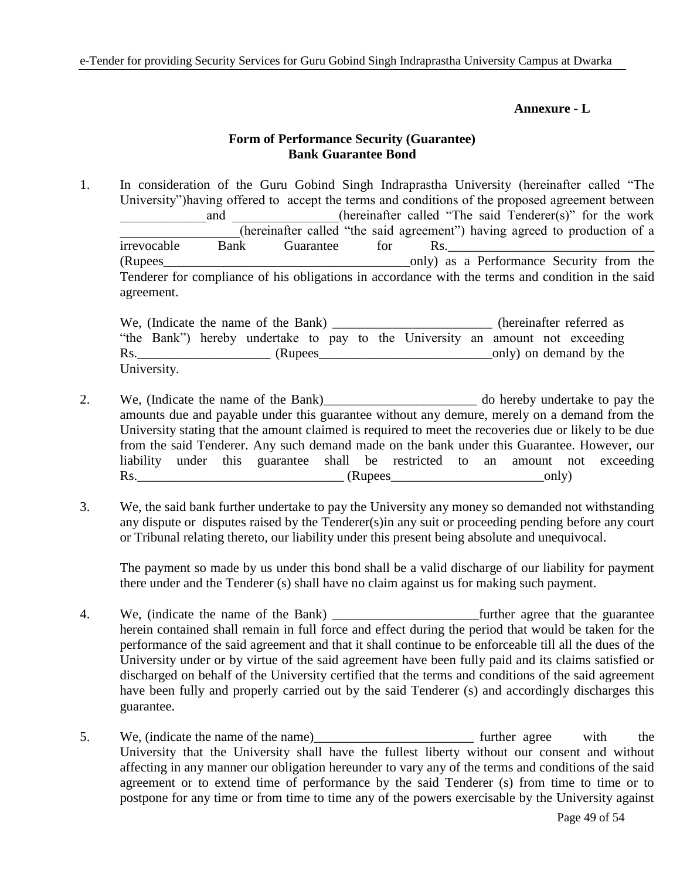### **Annexure - L**

## **Form of Performance Security (Guarantee) Bank Guarantee Bond**

1. In consideration of the Guru Gobind Singh Indraprastha University (hereinafter called "The University")having offered to accept the terms and conditions of the proposed agreement between and (hereinafter called "The said Tenderer(s)" for the work \_\_\_\_\_\_\_\_\_\_\_\_\_\_\_\_\_\_(hereinafter called "the said agreement") having agreed to production of a irrevocable Bank Guarantee for Rs. (Rupees\_\_\_\_\_\_\_\_\_\_\_\_\_\_\_\_\_\_\_\_\_\_\_\_\_\_\_\_\_\_\_\_\_\_\_\_\_only) as a Performance Security from the Tenderer for compliance of his obligations in accordance with the terms and condition in the said agreement.

|     |             | We, (Indicate the name of the Bank) $\equiv$ |  |  |                                                                               |  | (hereinafter referred as |
|-----|-------------|----------------------------------------------|--|--|-------------------------------------------------------------------------------|--|--------------------------|
|     |             |                                              |  |  | "the Bank") hereby undertake to pay to the University an amount not exceeding |  |                          |
| Rs. |             | (Rupees)                                     |  |  |                                                                               |  | only) on demand by the   |
|     | University. |                                              |  |  |                                                                               |  |                          |

- 2. We, (Indicate the name of the Bank)\_\_\_\_\_\_\_\_\_\_\_\_\_\_\_\_\_\_\_\_\_\_\_ do hereby undertake to pay the amounts due and payable under this guarantee without any demure, merely on a demand from the University stating that the amount claimed is required to meet the recoveries due or likely to be due from the said Tenderer. Any such demand made on the bank under this Guarantee. However, our liability under this guarantee shall be restricted to an amount not exceeding Rs.\_\_\_\_\_\_\_\_\_\_\_\_\_\_\_\_\_\_\_\_\_\_\_\_\_\_\_\_\_\_\_ (Rupees\_\_\_\_\_\_\_\_\_\_\_\_\_\_\_\_\_\_\_\_\_\_\_only)
- 3. We, the said bank further undertake to pay the University any money so demanded not withstanding any dispute or disputes raised by the Tenderer(s)in any suit or proceeding pending before any court or Tribunal relating thereto, our liability under this present being absolute and unequivocal.

The payment so made by us under this bond shall be a valid discharge of our liability for payment there under and the Tenderer (s) shall have no claim against us for making such payment.

- 4. We, (indicate the name of the Bank) \_\_\_\_\_\_\_\_\_\_\_\_\_\_\_\_\_\_\_\_\_\_further agree that the guarantee herein contained shall remain in full force and effect during the period that would be taken for the performance of the said agreement and that it shall continue to be enforceable till all the dues of the University under or by virtue of the said agreement have been fully paid and its claims satisfied or discharged on behalf of the University certified that the terms and conditions of the said agreement have been fully and properly carried out by the said Tenderer (s) and accordingly discharges this guarantee.
- 5. We, (indicate the name of the name) further agree with the University that the University shall have the fullest liberty without our consent and without affecting in any manner our obligation hereunder to vary any of the terms and conditions of the said agreement or to extend time of performance by the said Tenderer (s) from time to time or to postpone for any time or from time to time any of the powers exercisable by the University against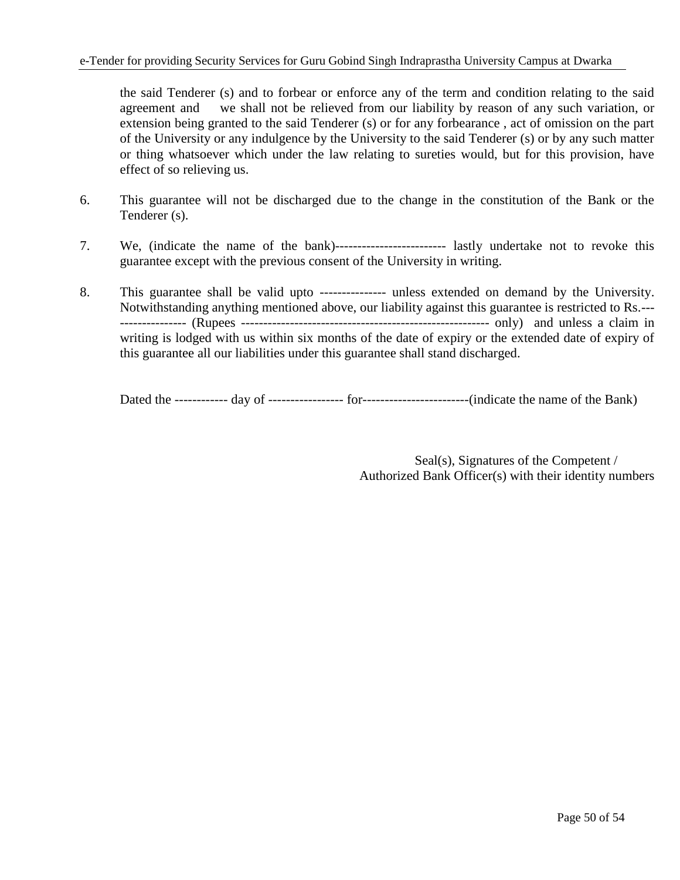the said Tenderer (s) and to forbear or enforce any of the term and condition relating to the said agreement and we shall not be relieved from our liability by reason of any such variation, or extension being granted to the said Tenderer (s) or for any forbearance , act of omission on the part of the University or any indulgence by the University to the said Tenderer (s) or by any such matter or thing whatsoever which under the law relating to sureties would, but for this provision, have effect of so relieving us.

- 6. This guarantee will not be discharged due to the change in the constitution of the Bank or the Tenderer (s).
- 7. We, (indicate the name of the bank)------------------------- lastly undertake not to revoke this guarantee except with the previous consent of the University in writing.
- 8. This guarantee shall be valid upto --------------- unless extended on demand by the University. Notwithstanding anything mentioned above, our liability against this guarantee is restricted to Rs.--- --------------- (Rupees -------------------------------------------------------- only) and unless a claim in writing is lodged with us within six months of the date of expiry or the extended date of expiry of this guarantee all our liabilities under this guarantee shall stand discharged.

Dated the ------------ day of ----------------- for------------------------(indicate the name of the Bank)

Seal(s), Signatures of the Competent / Authorized Bank Officer(s) with their identity numbers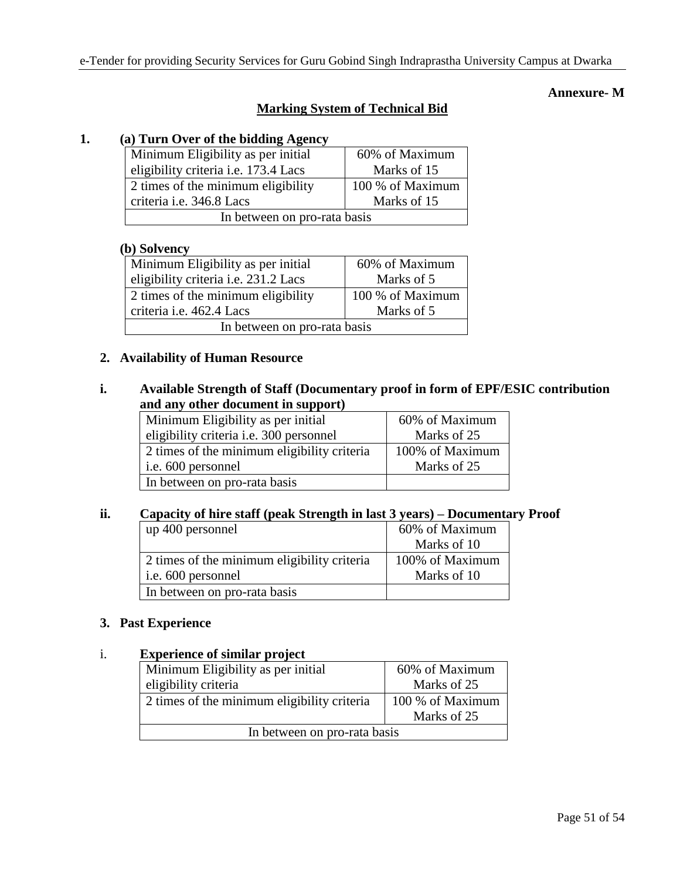## **Annexure- M**

## **Marking System of Technical Bid**

## **1. (a) Turn Over of the bidding Agency**

| Minimum Eligibility as per initial          | 60% of Maximum   |  |  |  |
|---------------------------------------------|------------------|--|--|--|
| eligibility criteria <i>i.e.</i> 173.4 Lacs | Marks of 15      |  |  |  |
| 2 times of the minimum eligibility          | 100 % of Maximum |  |  |  |
| criteria i.e. 346.8 Lacs                    | Marks of 15      |  |  |  |
| In between on pro-rata basis                |                  |  |  |  |

### **(b) Solvency**

| Minimum Eligibility as per initial   | 60% of Maximum   |  |  |  |
|--------------------------------------|------------------|--|--|--|
| eligibility criteria i.e. 231.2 Lacs | Marks of 5       |  |  |  |
| 2 times of the minimum eligibility   | 100 % of Maximum |  |  |  |
| criteria i.e. 462.4 Lacs             | Marks of 5       |  |  |  |
| In between on pro-rata basis         |                  |  |  |  |

### **2. Availability of Human Resource**

## **i. Available Strength of Staff (Documentary proof in form of EPF/ESIC contribution and any other document in support)**

| Minimum Eligibility as per initial          | 60% of Maximum  |
|---------------------------------------------|-----------------|
| eligibility criteria i.e. 300 personnel     | Marks of 25     |
| 2 times of the minimum eligibility criteria | 100% of Maximum |
| i.e. 600 personnel                          | Marks of 25     |
| In between on pro-rata basis                |                 |

## **ii. Capacity of hire staff (peak Strength in last 3 years) – Documentary Proof**

| up 400 personnel                            | 60% of Maximum  |
|---------------------------------------------|-----------------|
|                                             | Marks of 10     |
| 2 times of the minimum eligibility criteria | 100% of Maximum |
| i.e. 600 personnel                          | Marks of 10     |
| In between on pro-rata basis                |                 |

## **3. Past Experience**

### i. **Experience of similar project**

| Minimum Eligibility as per initial          | 60% of Maximum   |  |  |
|---------------------------------------------|------------------|--|--|
| eligibility criteria                        | Marks of 25      |  |  |
| 2 times of the minimum eligibility criteria | 100 % of Maximum |  |  |
| Marks of 25                                 |                  |  |  |
| In between on pro-rata basis                |                  |  |  |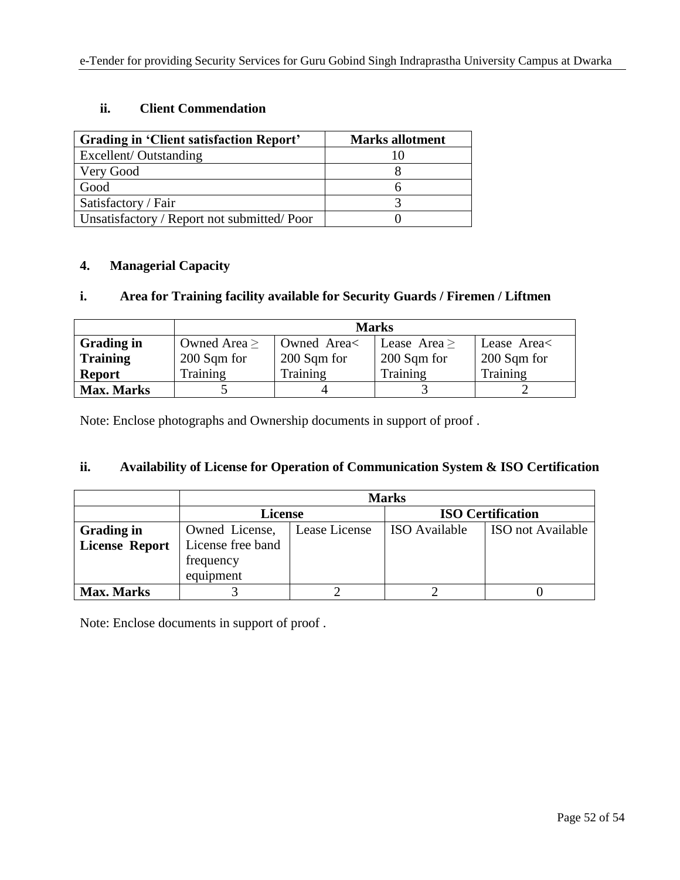## **ii. Client Commendation**

| Grading in 'Client satisfaction Report'    | <b>Marks allotment</b> |
|--------------------------------------------|------------------------|
| Excellent/Outstanding                      |                        |
| Very Good                                  |                        |
| Good                                       |                        |
| Satisfactory / Fair                        |                        |
| Unsatisfactory / Report not submitted/Poor |                        |

## **4. Managerial Capacity**

## **i. Area for Training facility available for Security Guards / Firemen / Liftmen**

|                   | <b>Marks</b>      |             |                |             |
|-------------------|-------------------|-------------|----------------|-------------|
| <b>Grading in</b> | Owned Area $\geq$ | Owned Area< | Lease Area $>$ | Lease Area  |
| <b>Training</b>   | 200 Sqm for       | 200 Sqm for | 200 Sqm for    | 200 Sqm for |
| <b>Report</b>     | Training          | Training    | Training       | Training    |
| <b>Max. Marks</b> |                   |             |                |             |

Note: Enclose photographs and Ownership documents in support of proof .

## **ii. Availability of License for Operation of Communication System & ISO Certification**

|                       | <b>Marks</b>      |               |                          |                   |
|-----------------------|-------------------|---------------|--------------------------|-------------------|
|                       | <b>License</b>    |               | <b>ISO Certification</b> |                   |
| <b>Grading in</b>     | Owned License,    | Lease License | <b>ISO</b> Available     | ISO not Available |
| <b>License Report</b> | License free band |               |                          |                   |
|                       | frequency         |               |                          |                   |
|                       | equipment         |               |                          |                   |
| <b>Max. Marks</b>     |                   |               |                          |                   |

Note: Enclose documents in support of proof .